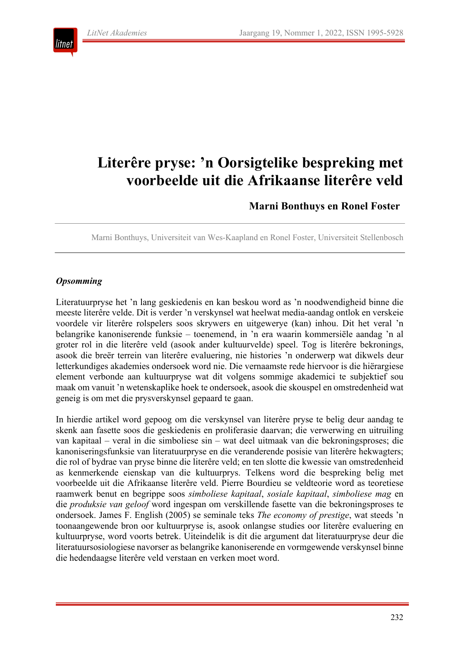

# **Literêre pryse: 'n Oorsigtelike bespreking met voorbeelde uit die Afrikaanse literêre veld**

# **Marni Bonthuys en Ronel Foster**

Marni Bonthuys, Universiteit van Wes-Kaapland en Ronel Foster, Universiteit Stellenbosch

#### *Opsomming*

Literatuurpryse het 'n lang geskiedenis en kan beskou word as 'n noodwendigheid binne die meeste literêre velde. Dit is verder 'n verskynsel wat heelwat media-aandag ontlok en verskeie voordele vir literêre rolspelers soos skrywers en uitgewerye (kan) inhou. Dit het veral 'n belangrike kanoniserende funksie – toenemend, in 'n era waarin kommersiële aandag 'n al groter rol in die literêre veld (asook ander kultuurvelde) speel. Tog is literêre bekronings, asook die breër terrein van literêre evaluering, nie histories 'n onderwerp wat dikwels deur letterkundiges akademies ondersoek word nie. Die vernaamste rede hiervoor is die hiërargiese element verbonde aan kultuurpryse wat dit volgens sommige akademici te subjektief sou maak om vanuit 'n wetenskaplike hoek te ondersoek, asook die skouspel en omstredenheid wat geneig is om met die prysverskynsel gepaard te gaan.

In hierdie artikel word gepoog om die verskynsel van literêre pryse te belig deur aandag te skenk aan fasette soos die geskiedenis en proliferasie daarvan; die verwerwing en uitruiling van kapitaal – veral in die simboliese sin – wat deel uitmaak van die bekroningsproses; die kanoniseringsfunksie van literatuurpryse en die veranderende posisie van literêre hekwagters; die rol of bydrae van pryse binne die literêre veld; en ten slotte die kwessie van omstredenheid as kenmerkende eienskap van die kultuurprys. Telkens word die bespreking belig met voorbeelde uit die Afrikaanse literêre veld. Pierre Bourdieu se veldteorie word as teoretiese raamwerk benut en begrippe soos *simboliese kapitaal*, *sosiale kapitaal*, *simboliese mag* en die *produksie van geloof* word ingespan om verskillende fasette van die bekroningsproses te ondersoek. James F. English (2005) se seminale teks *The economy of prestige*, wat steeds 'n toonaangewende bron oor kultuurpryse is, asook onlangse studies oor literêre evaluering en kultuurpryse, word voorts betrek. Uiteindelik is dit die argument dat literatuurpryse deur die literatuursosiologiese navorser as belangrike kanoniserende en vormgewende verskynsel binne die hedendaagse literêre veld verstaan en verken moet word.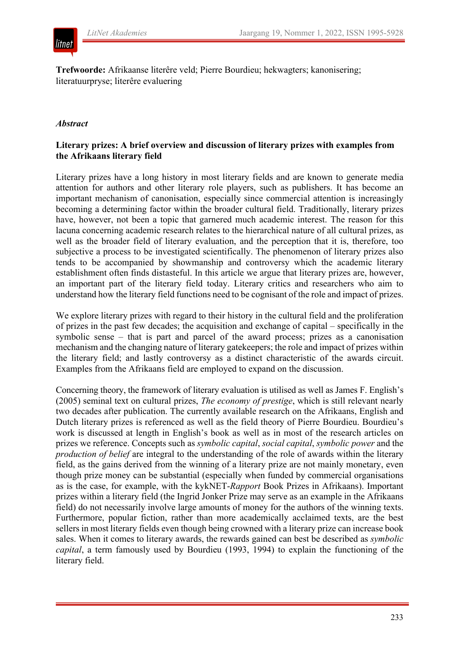

**Trefwoorde:** Afrikaanse literêre veld; Pierre Bourdieu; hekwagters; kanonisering; literatuurpryse; literêre evaluering

#### *Abstract*

## **Literary prizes: A brief overview and discussion of literary prizes with examples from the Afrikaans literary field**

Literary prizes have a long history in most literary fields and are known to generate media attention for authors and other literary role players, such as publishers. It has become an important mechanism of canonisation, especially since commercial attention is increasingly becoming a determining factor within the broader cultural field. Traditionally, literary prizes have, however, not been a topic that garnered much academic interest. The reason for this lacuna concerning academic research relates to the hierarchical nature of all cultural prizes, as well as the broader field of literary evaluation, and the perception that it is, therefore, too subjective a process to be investigated scientifically. The phenomenon of literary prizes also tends to be accompanied by showmanship and controversy which the academic literary establishment often finds distasteful. In this article we argue that literary prizes are, however, an important part of the literary field today. Literary critics and researchers who aim to understand how the literary field functions need to be cognisant of the role and impact of prizes.

We explore literary prizes with regard to their history in the cultural field and the proliferation of prizes in the past few decades; the acquisition and exchange of capital – specifically in the symbolic sense – that is part and parcel of the award process; prizes as a canonisation mechanism and the changing nature of literary gatekeepers; the role and impact of prizes within the literary field; and lastly controversy as a distinct characteristic of the awards circuit. Examples from the Afrikaans field are employed to expand on the discussion.

Concerning theory, the framework of literary evaluation is utilised as well as James F. English's (2005) seminal text on cultural prizes, *The economy of prestige*, which is still relevant nearly two decades after publication. The currently available research on the Afrikaans, English and Dutch literary prizes is referenced as well as the field theory of Pierre Bourdieu. Bourdieu's work is discussed at length in English's book as well as in most of the research articles on prizes we reference. Concepts such as *symbolic capital*, *social capital*, *symbolic power* and the *production of belief* are integral to the understanding of the role of awards within the literary field, as the gains derived from the winning of a literary prize are not mainly monetary, even though prize money can be substantial (especially when funded by commercial organisations as is the case, for example, with the kykNET-*Rapport* Book Prizes in Afrikaans). Important prizes within a literary field (the Ingrid Jonker Prize may serve as an example in the Afrikaans field) do not necessarily involve large amounts of money for the authors of the winning texts. Furthermore, popular fiction, rather than more academically acclaimed texts, are the best sellers in most literary fields even though being crowned with a literary prize can increase book sales. When it comes to literary awards, the rewards gained can best be described as *symbolic capital*, a term famously used by Bourdieu (1993, 1994) to explain the functioning of the literary field.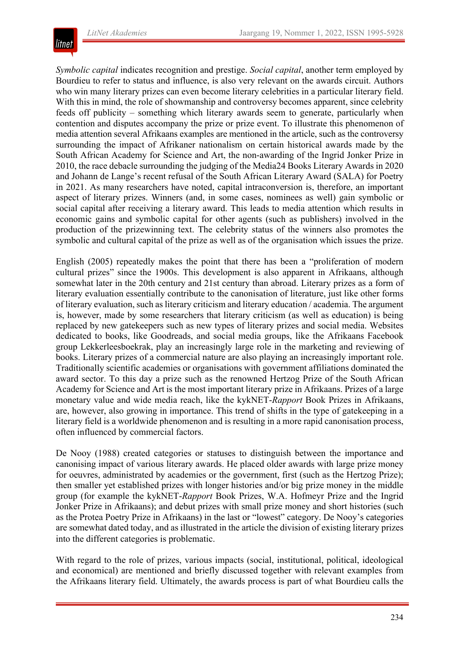

*Symbolic capital* indicates recognition and prestige. *Social capital*, another term employed by Bourdieu to refer to status and influence, is also very relevant on the awards circuit. Authors who win many literary prizes can even become literary celebrities in a particular literary field. With this in mind, the role of showmanship and controversy becomes apparent, since celebrity feeds off publicity – something which literary awards seem to generate, particularly when contention and disputes accompany the prize or prize event. To illustrate this phenomenon of media attention several Afrikaans examples are mentioned in the article, such as the controversy surrounding the impact of Afrikaner nationalism on certain historical awards made by the South African Academy for Science and Art, the non-awarding of the Ingrid Jonker Prize in 2010, the race debacle surrounding the judging of the Media24 Books Literary Awards in 2020 and Johann de Lange's recent refusal of the South African Literary Award (SALA) for Poetry in 2021. As many researchers have noted, capital intraconversion is, therefore, an important aspect of literary prizes. Winners (and, in some cases, nominees as well) gain symbolic or social capital after receiving a literary award. This leads to media attention which results in economic gains and symbolic capital for other agents (such as publishers) involved in the production of the prizewinning text. The celebrity status of the winners also promotes the symbolic and cultural capital of the prize as well as of the organisation which issues the prize.

English (2005) repeatedly makes the point that there has been a "proliferation of modern cultural prizes" since the 1900s. This development is also apparent in Afrikaans, although somewhat later in the 20th century and 21st century than abroad. Literary prizes as a form of literary evaluation essentially contribute to the canonisation of literature, just like other forms of literary evaluation, such as literary criticism and literary education / academia. The argument is, however, made by some researchers that literary criticism (as well as education) is being replaced by new gatekeepers such as new types of literary prizes and social media. Websites dedicated to books, like Goodreads, and social media groups, like the Afrikaans Facebook group Lekkerleesboekrak, play an increasingly large role in the marketing and reviewing of books. Literary prizes of a commercial nature are also playing an increasingly important role. Traditionally scientific academies or organisations with government affiliations dominated the award sector. To this day a prize such as the renowned Hertzog Prize of the South African Academy for Science and Art is the most important literary prize in Afrikaans. Prizes of a large monetary value and wide media reach, like the kykNET-*Rapport* Book Prizes in Afrikaans, are, however, also growing in importance. This trend of shifts in the type of gatekeeping in a literary field is a worldwide phenomenon and is resulting in a more rapid canonisation process, often influenced by commercial factors.

De Nooy (1988) created categories or statuses to distinguish between the importance and canonising impact of various literary awards. He placed older awards with large prize money for oeuvres, administrated by academies or the government, first (such as the Hertzog Prize); then smaller yet established prizes with longer histories and/or big prize money in the middle group (for example the kykNET-*Rapport* Book Prizes, W.A. Hofmeyr Prize and the Ingrid Jonker Prize in Afrikaans); and debut prizes with small prize money and short histories (such as the Protea Poetry Prize in Afrikaans) in the last or "lowest" category. De Nooy's categories are somewhat dated today, and as illustrated in the article the division of existing literary prizes into the different categories is problematic.

With regard to the role of prizes, various impacts (social, institutional, political, ideological and economical) are mentioned and briefly discussed together with relevant examples from the Afrikaans literary field. Ultimately, the awards process is part of what Bourdieu calls the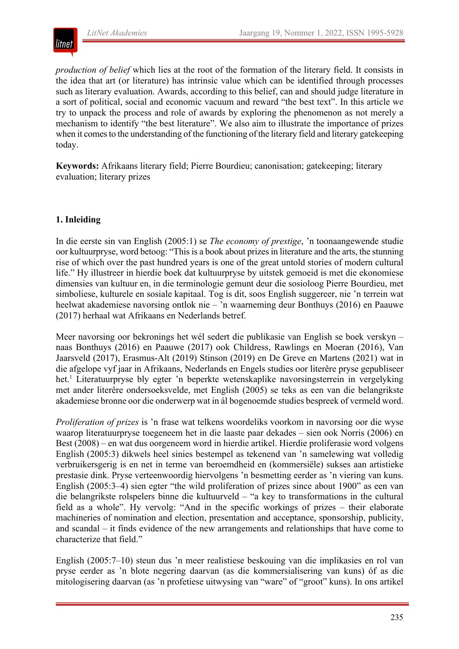

*production of belief* which lies at the root of the formation of the literary field. It consists in the idea that art (or literature) has intrinsic value which can be identified through processes such as literary evaluation. Awards, according to this belief, can and should judge literature in a sort of political, social and economic vacuum and reward "the best text". In this article we try to unpack the process and role of awards by exploring the phenomenon as not merely a mechanism to identify "the best literature". We also aim to illustrate the importance of prizes when it comesto the understanding of the functioning of the literary field and literary gatekeeping today.

**Keywords:** Afrikaans literary field; Pierre Bourdieu; canonisation; gatekeeping; literary evaluation; literary prizes

## **1. Inleiding**

In die eerste sin van English (2005:1) se *The economy of prestige*, 'n toonaangewende studie oor kultuurpryse, word betoog: "This is a book about prizes in literature and the arts, the stunning rise of which over the past hundred years is one of the great untold stories of modern cultural life." Hy illustreer in hierdie boek dat kultuurpryse by uitstek gemoeid is met die ekonomiese dimensies van kultuur en, in die terminologie gemunt deur die sosioloog Pierre Bourdieu, met simboliese, kulturele en sosiale kapitaal. Tog is dit, soos English suggereer, nie 'n terrein wat heelwat akademiese navorsing ontlok nie – 'n waarneming deur Bonthuys (2016) en Paauwe (2017) herhaal wat Afrikaans en Nederlands betref.

Meer navorsing oor bekronings het wél sedert die publikasie van English se boek verskyn – naas Bonthuys (2016) en Paauwe (2017) ook Childress, Rawlings en Moeran (2016), Van Jaarsveld (2017), Erasmus-Alt (2019) Stinson (2019) en De Greve en Martens (2021) wat in die afgelope vyf jaar in Afrikaans, Nederlands en Engels studies oor literêre pryse gepubliseer het.<sup>1</sup> Literatuurpryse bly egter 'n beperkte wetenskaplike navorsingsterrein in vergelyking met ander literêre ondersoeksvelde, met English (2005) se teks as een van die belangrikste akademiese bronne oor die onderwerp wat in ál bogenoemde studies bespreek of vermeld word.

*Proliferation of prizes* is 'n frase wat telkens woordeliks voorkom in navorsing oor die wyse waarop literatuurpryse toegeneem het in die laaste paar dekades – sien ook Norris (2006) en Best (2008) – en wat dus oorgeneem word in hierdie artikel. Hierdie proliferasie word volgens English (2005:3) dikwels heel sinies bestempel as tekenend van 'n samelewing wat volledig verbruikersgerig is en net in terme van beroemdheid en (kommersiële) sukses aan artistieke prestasie dink. Pryse verteenwoordig hiervolgens 'n besmetting eerder as 'n viering van kuns. English (2005:3–4) sien egter "the wild proliferation of prizes since about 1900" as een van die belangrikste rolspelers binne die kultuurveld – "a key to transformations in the cultural field as a whole". Hy vervolg: "And in the specific workings of prizes – their elaborate machineries of nomination and election, presentation and acceptance, sponsorship, publicity, and scandal – it finds evidence of the new arrangements and relationships that have come to characterize that field."

English (2005:7–10) steun dus 'n meer realistiese beskouing van die implikasies en rol van pryse eerder as 'n blote negering daarvan (as die kommersialisering van kuns) óf as die mitologisering daarvan (as 'n profetiese uitwysing van "ware" of "groot" kuns). In ons artikel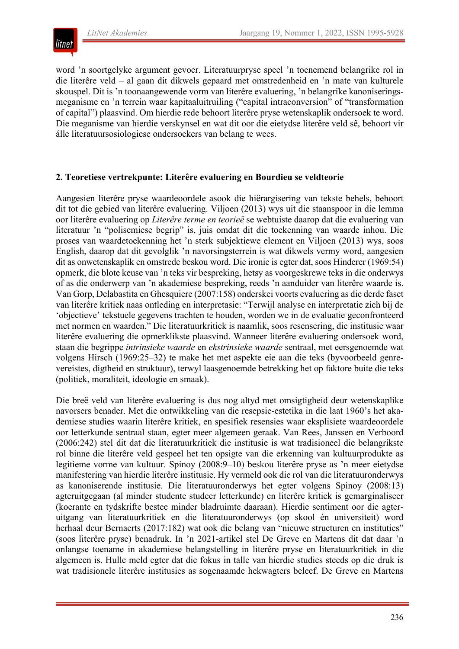

word 'n soortgelyke argument gevoer. Literatuurpryse speel 'n toenemend belangrike rol in die literêre veld – al gaan dit dikwels gepaard met omstredenheid en 'n mate van kulturele skouspel. Dit is 'n toonaangewende vorm van literêre evaluering, 'n belangrike kanoniseringsmeganisme en 'n terrein waar kapitaaluitruiling ("capital intraconversion" of "transformation of capital") plaasvind. Om hierdie rede behoort literêre pryse wetenskaplik ondersoek te word. Die meganisme van hierdie verskynsel en wat dit oor die eietydse literêre veld sê, behoort vir álle literatuursosiologiese ondersoekers van belang te wees.

#### **2. Teoretiese vertrekpunte: Literêre evaluering en Bourdieu se veldteorie**

Aangesien literêre pryse waardeoordele asook die hiërargisering van tekste behels, behoort dit tot die gebied van literêre evaluering. Viljoen (2013) wys uit die staanspoor in die lemma oor literêre evaluering op *Literêre terme en teorieë* se webtuiste daarop dat die evaluering van literatuur 'n "polisemiese begrip" is, juis omdat dit die toekenning van waarde inhou. Die proses van waardetoekenning het 'n sterk subjektiewe element en Viljoen (2013) wys, soos English, daarop dat dit gevolglik 'n navorsingsterrein is wat dikwels vermy word, aangesien dit as onwetenskaplik en omstrede beskou word. Die ironie is egter dat, soos Hinderer (1969:54) opmerk, die blote keuse van 'n teks vir bespreking, hetsy as voorgeskrewe teks in die onderwys of as die onderwerp van 'n akademiese bespreking, reeds 'n aanduider van literêre waarde is. Van Gorp, Delabastita en Ghesquiere (2007:158) onderskei voorts evaluering as die derde faset van literêre kritiek naas ontleding en interpretasie: "Terwijl analyse en interpretatie zich bij de 'objectieve' tekstuele gegevens trachten te houden, worden we in de evaluatie geconfronteerd met normen en waarden." Die literatuurkritiek is naamlik, soos resensering, die institusie waar literêre evaluering die opmerklikste plaasvind. Wanneer literêre evaluering ondersoek word, staan die begrippe *intrinsieke waarde* en *ekstrinsieke waarde* sentraal, met eersgenoemde wat volgens Hirsch (1969:25–32) te make het met aspekte eie aan die teks (byvoorbeeld genrevereistes, digtheid en struktuur), terwyl laasgenoemde betrekking het op faktore buite die teks (politiek, moraliteit, ideologie en smaak).

Die breë veld van literêre evaluering is dus nog altyd met omsigtigheid deur wetenskaplike navorsers benader. Met die ontwikkeling van die resepsie-estetika in die laat 1960's het akademiese studies waarin literêre kritiek, en spesifiek resensies waar eksplisiete waardeoordele oor letterkunde sentraal staan, egter meer algemeen geraak. Van Rees, Janssen en Verboord (2006:242) stel dit dat die literatuurkritiek die institusie is wat tradisioneel die belangrikste rol binne die literêre veld gespeel het ten opsigte van die erkenning van kultuurprodukte as legitieme vorme van kultuur. Spinoy (2008:9–10) beskou literêre pryse as 'n meer eietydse manifestering van hierdie literêre institusie. Hy vermeld ook die rol van die literatuuronderwys as kanoniserende institusie. Die literatuuronderwys het egter volgens Spinoy (2008:13) agteruitgegaan (al minder studente studeer letterkunde) en literêre kritiek is gemarginaliseer (koerante en tydskrifte bestee minder bladruimte daaraan). Hierdie sentiment oor die agteruitgang van literatuurkritiek en die literatuuronderwys (op skool én universiteit) word herhaal deur Bernaerts (2017:182) wat ook die belang van "nieuwe structuren en instituties" (soos literêre pryse) benadruk. In 'n 2021-artikel stel De Greve en Martens dit dat daar 'n onlangse toename in akademiese belangstelling in literêre pryse en literatuurkritiek in die algemeen is. Hulle meld egter dat die fokus in talle van hierdie studies steeds op die druk is wat tradisionele literêre institusies as sogenaamde hekwagters beleef. De Greve en Martens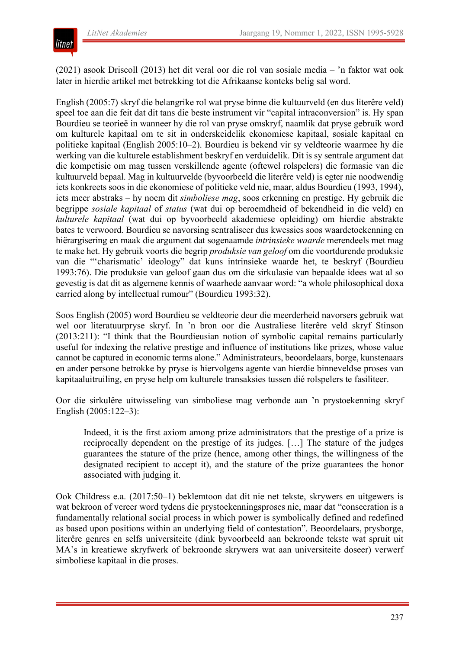

(2021) asook Driscoll (2013) het dit veral oor die rol van sosiale media – 'n faktor wat ook later in hierdie artikel met betrekking tot die Afrikaanse konteks belig sal word.

English (2005:7) skryf die belangrike rol wat pryse binne die kultuurveld (en dus literêre veld) speel toe aan die feit dat dit tans die beste instrument vir "capital intraconversion" is. Hy span Bourdieu se teorieë in wanneer hy die rol van pryse omskryf, naamlik dat pryse gebruik word om kulturele kapitaal om te sit in onderskeidelik ekonomiese kapitaal, sosiale kapitaal en politieke kapitaal (English 2005:10–2). Bourdieu is bekend vir sy veldteorie waarmee hy die werking van die kulturele establishment beskryf en verduidelik. Dit is sy sentrale argument dat die kompetisie om mag tussen verskillende agente (oftewel rolspelers) die formasie van die kultuurveld bepaal. Mag in kultuurvelde (byvoorbeeld die literêre veld) is egter nie noodwendig iets konkreets soos in die ekonomiese of politieke veld nie, maar, aldus Bourdieu (1993, 1994), iets meer abstraks – hy noem dit *simboliese mag*, soos erkenning en prestige. Hy gebruik die begrippe *sosiale kapitaal* of *status* (wat dui op beroemdheid of bekendheid in die veld) en *kulturele kapitaal* (wat dui op byvoorbeeld akademiese opleiding) om hierdie abstrakte bates te verwoord. Bourdieu se navorsing sentraliseer dus kwessies soos waardetoekenning en hiërargisering en maak die argument dat sogenaamde *intrinsieke waarde* merendeels met mag te make het. Hy gebruik voorts die begrip *produksie van geloof* om die voortdurende produksie van die "'charismatic' ideology" dat kuns intrinsieke waarde het, te beskryf (Bourdieu 1993:76). Die produksie van geloof gaan dus om die sirkulasie van bepaalde idees wat al so gevestig is dat dit as algemene kennis of waarhede aanvaar word: "a whole philosophical doxa carried along by intellectual rumour" (Bourdieu 1993:32).

Soos English (2005) word Bourdieu se veldteorie deur die meerderheid navorsers gebruik wat wel oor literatuurpryse skryf. In 'n bron oor die Australiese literêre veld skryf Stinson (2013:211): "I think that the Bourdieusian notion of symbolic capital remains particularly useful for indexing the relative prestige and influence of institutions like prizes, whose value cannot be captured in economic terms alone." Administrateurs, beoordelaars, borge, kunstenaars en ander persone betrokke by pryse is hiervolgens agente van hierdie binneveldse proses van kapitaaluitruiling, en pryse help om kulturele transaksies tussen dié rolspelers te fasiliteer.

Oor die sirkulêre uitwisseling van simboliese mag verbonde aan 'n prystoekenning skryf English (2005:122–3):

Indeed, it is the first axiom among prize administrators that the prestige of a prize is reciprocally dependent on the prestige of its judges. […] The stature of the judges guarantees the stature of the prize (hence, among other things, the willingness of the designated recipient to accept it), and the stature of the prize guarantees the honor associated with judging it.

Ook Childress e.a. (2017:50–1) beklemtoon dat dit nie net tekste, skrywers en uitgewers is wat bekroon of vereer word tydens die prystoekenningsproses nie, maar dat "consecration is a fundamentally relational social process in which power is symbolically defined and redefined as based upon positions within an underlying field of contestation". Beoordelaars, prysborge, literêre genres en selfs universiteite (dink byvoorbeeld aan bekroonde tekste wat spruit uit MA's in kreatiewe skryfwerk of bekroonde skrywers wat aan universiteite doseer) verwerf simboliese kapitaal in die proses.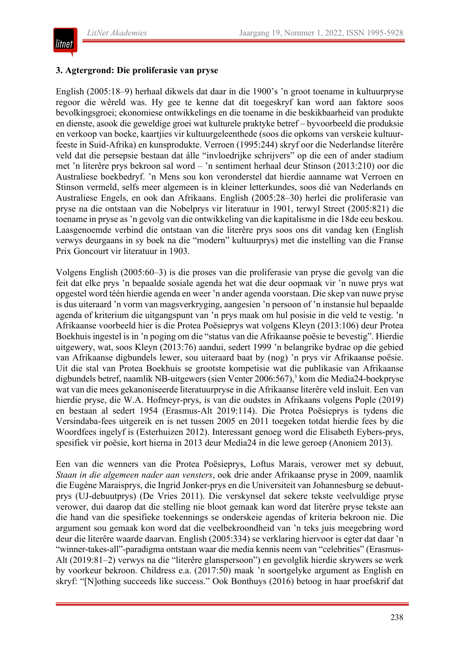

#### **3. Agtergrond: Die proliferasie van pryse**

English (2005:18–9) herhaal dikwels dat daar in die 1900's 'n groot toename in kultuurpryse regoor die wêreld was. Hy gee te kenne dat dit toegeskryf kan word aan faktore soos bevolkingsgroei; ekonomiese ontwikkelings en die toename in die beskikbaarheid van produkte en dienste, asook die geweldige groei wat kulturele praktyke betref – byvoorbeeld die produksie en verkoop van boeke, kaartjies vir kultuurgeleenthede (soos die opkoms van verskeie kultuurfeeste in Suid-Afrika) en kunsprodukte. Verroen (1995:244) skryf oor die Nederlandse literêre veld dat die persepsie bestaan dat álle "invloedrijke schrijvers" op die een of ander stadium met 'n literêre prys bekroon sal word – 'n sentiment herhaal deur Stinson (2013:210) oor die Australiese boekbedryf. 'n Mens sou kon veronderstel dat hierdie aanname wat Verroen en Stinson vermeld, selfs meer algemeen is in kleiner letterkundes, soos dié van Nederlands en Australiese Engels, en ook dan Afrikaans. English (2005:28–30) herlei die proliferasie van pryse na die ontstaan van die Nobelprys vir literatuur in 1901, terwyl Street (2005:821) die toename in pryse as 'n gevolg van die ontwikkeling van die kapitalisme in die 18de eeu beskou. Laasgenoemde verbind die ontstaan van die literêre prys soos ons dit vandag ken (English verwys deurgaans in sy boek na die "modern" kultuurprys) met die instelling van die Franse Prix Goncourt vir literatuur in 1903.

Volgens English (2005:60–3) is die proses van die proliferasie van pryse die gevolg van die feit dat elke prys 'n bepaalde sosiale agenda het wat die deur oopmaak vir 'n nuwe prys wat opgestel word téén hierdie agenda en weer 'n ander agenda voorstaan. Die skep van nuwe pryse is dus uiteraard 'n vorm van magsverkryging, aangesien 'n persoon of 'n instansie hul bepaalde agenda of kriterium die uitgangspunt van 'n prys maak om hul posisie in die veld te vestig. 'n Afrikaanse voorbeeld hier is die Protea Poësieprys wat volgens Kleyn (2013:106) deur Protea Boekhuis ingestel is in 'n poging om die "status van die Afrikaanse poësie te bevestig". Hierdie uitgewery, wat, soos Kleyn (2013:76) aandui, sedert 1999 'n belangrike bydrae op die gebied van Afrikaanse digbundels lewer, sou uiteraard baat by (nog) 'n prys vir Afrikaanse poësie. Uit die stal van Protea Boekhuis se grootste kompetisie wat die publikasie van Afrikaanse digbundels betref, naamlik NB-uitgewers (sien Venter 2006:567),<sup>3</sup> kom die Media24-boekpryse wat van die mees gekanoniseerde literatuurpryse in die Afrikaanse literêre veld insluit. Een van hierdie pryse, die W.A. Hofmeyr-prys, is van die oudstes in Afrikaans volgens Pople (2019) en bestaan al sedert 1954 (Erasmus-Alt 2019:114). Die Protea Poësieprys is tydens die Versindaba-fees uitgereik en is net tussen 2005 en 2011 toegeken totdat hierdie fees by die Woordfees ingelyf is (Esterhuizen 2012). Interessant genoeg word die Elisabeth Eybers-prys, spesifiek vir poësie, kort hierna in 2013 deur Media24 in die lewe geroep (Anoniem 2013).

Een van die wenners van die Protea Poësieprys, Loftus Marais, verower met sy debuut, *Staan in die algemeen nader aan vensters*, ook drie ander Afrikaanse pryse in 2009, naamlik die Eugène Maraisprys, die Ingrid Jonker-prys en die Universiteit van Johannesburg se debuutprys (UJ-debuutprys) (De Vries 2011). Die verskynsel dat sekere tekste veelvuldige pryse verower, dui daarop dat die stelling nie bloot gemaak kan word dat literêre pryse tekste aan die hand van die spesifieke toekennings se onderskeie agendas of kriteria bekroon nie. Die argument sou gemaak kon word dat die veelbekroondheid van 'n teks juis meegebring word deur die literêre waarde daarvan. English (2005:334) se verklaring hiervoor is egter dat daar 'n "winner-takes-all"-paradigma ontstaan waar die media kennis neem van "celebrities" (Erasmus-Alt (2019:81–2) verwys na die "literêre glanspersoon") en gevolglik hierdie skrywers se werk by voorkeur bekroon. Childress e.a. (2017:50) maak 'n soortgelyke argument as English en skryf: "[N]othing succeeds like success." Ook Bonthuys (2016) betoog in haar proefskrif dat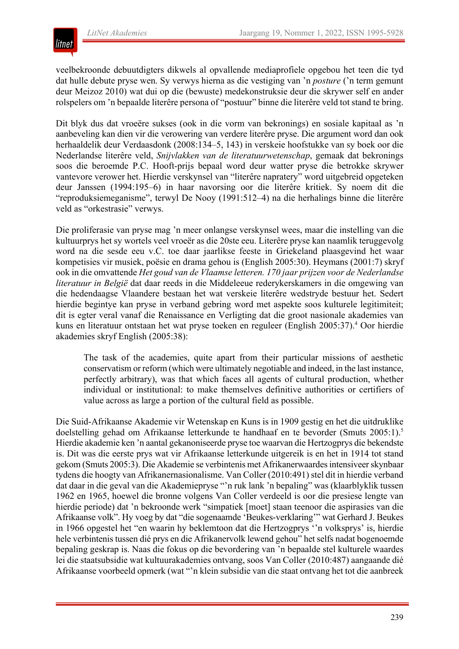

veelbekroonde debuutdigters dikwels al opvallende mediaprofiele opgebou het teen die tyd dat hulle debute pryse wen. Sy verwys hierna as die vestiging van 'n *posture* ('n term gemunt deur Meizoz 2010) wat dui op die (bewuste) medekonstruksie deur die skrywer self en ander rolspelers om 'n bepaalde literêre persona of "postuur" binne die literêre veld tot stand te bring.

Dit blyk dus dat vroeëre sukses (ook in die vorm van bekronings) en sosiale kapitaal as 'n aanbeveling kan dien vir die verowering van verdere literêre pryse. Die argument word dan ook herhaaldelik deur Verdaasdonk (2008:134–5, 143) in verskeie hoofstukke van sy boek oor die Nederlandse literêre veld, *Snijvlakken van de literatuurwetenschap*, gemaak dat bekronings soos die beroemde P.C. Hooft-prijs bepaal word deur watter pryse die betrokke skrywer vantevore verower het. Hierdie verskynsel van "literêre napratery" word uitgebreid opgeteken deur Janssen (1994:195–6) in haar navorsing oor die literêre kritiek. Sy noem dit die "reproduksiemeganisme", terwyl De Nooy (1991:512–4) na die herhalings binne die literêre veld as "orkestrasie" verwys.

Die proliferasie van pryse mag 'n meer onlangse verskynsel wees, maar die instelling van die kultuurprys het sy wortels veel vroeër as die 20ste eeu. Literêre pryse kan naamlik teruggevolg word na die sesde eeu v.C. toe daar jaarlikse feeste in Griekeland plaasgevind het waar kompetisies vir musiek, poësie en drama gehou is (English 2005:30). Heymans (2001:7) skryf ook in die omvattende *Het goud van de Vlaamse letteren. 170 jaar prijzen voor de Nederlandse literatuur in België* dat daar reeds in die Middeleeue rederykerskamers in die omgewing van die hedendaagse Vlaandere bestaan het wat verskeie literêre wedstryde bestuur het. Sedert hierdie begintye kan pryse in verband gebring word met aspekte soos kulturele legitimiteit; dit is egter veral vanaf die Renaissance en Verligting dat die groot nasionale akademies van kuns en literatuur ontstaan het wat pryse toeken en reguleer (English 2005:37).4 Oor hierdie akademies skryf English (2005:38):

The task of the academies, quite apart from their particular missions of aesthetic conservatism or reform (which were ultimately negotiable and indeed, in the last instance, perfectly arbitrary), was that which faces all agents of cultural production, whether individual or institutional: to make themselves definitive authorities or certifiers of value across as large a portion of the cultural field as possible.

Die Suid-Afrikaanse Akademie vir Wetenskap en Kuns is in 1909 gestig en het die uitdruklike doelstelling gehad om Afrikaanse letterkunde te handhaaf en te bevorder (Smuts 2005:1).<sup>5</sup> Hierdie akademie ken 'n aantal gekanoniseerde pryse toe waarvan die Hertzogprys die bekendste is. Dit was die eerste prys wat vir Afrikaanse letterkunde uitgereik is en het in 1914 tot stand gekom (Smuts 2005:3). Die Akademie se verbintenis met Afrikanerwaardesintensiveerskynbaar tydens die hoogty van Afrikanernasionalisme. Van Coller (2010:491) stel dit in hierdie verband dat daar in die geval van die Akademiepryse "'n ruk lank 'n bepaling" was (klaarblyklik tussen 1962 en 1965, hoewel die bronne volgens Van Coller verdeeld is oor die presiese lengte van hierdie periode) dat 'n bekroonde werk "simpatiek [moet] staan teenoor die aspirasies van die Afrikaanse volk". Hy voeg by dat "die sogenaamde 'Beukes-verklaring'" wat Gerhard J. Beukes in 1966 opgestel het "en waarin hy beklemtoon dat die Hertzogprys ''n volksprys' is, hierdie hele verbintenis tussen dié prys en die Afrikanervolk lewend gehou" het selfs nadat bogenoemde bepaling geskrap is. Naas die fokus op die bevordering van 'n bepaalde stel kulturele waardes lei die staatsubsidie wat kultuurakademies ontvang, soos Van Coller (2010:487) aangaande dié Afrikaanse voorbeeld opmerk (wat "'n klein subsidie van die staat ontvang het tot die aanbreek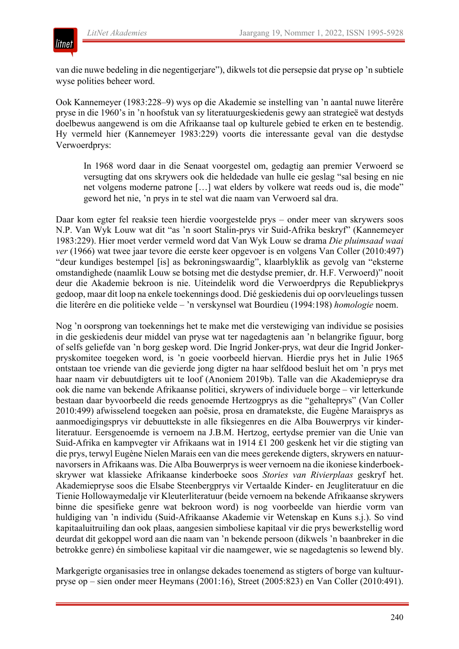

van die nuwe bedeling in die negentigerjare"), dikwels tot die persepsie dat pryse op 'n subtiele wyse polities beheer word.

Ook Kannemeyer (1983:228–9) wys op die Akademie se instelling van 'n aantal nuwe literêre pryse in die 1960's in 'n hoofstuk van sy literatuurgeskiedenis gewy aan strategieë wat destyds doelbewus aangewend is om die Afrikaanse taal op kulturele gebied te erken en te bestendig. Hy vermeld hier (Kannemeyer 1983:229) voorts die interessante geval van die destydse Verwoerdprys:

In 1968 word daar in die Senaat voorgestel om, gedagtig aan premier Verwoerd se versugting dat ons skrywers ook die heldedade van hulle eie geslag "sal besing en nie net volgens moderne patrone […] wat elders by volkere wat reeds oud is, die mode" geword het nie, 'n prys in te stel wat die naam van Verwoerd sal dra.

Daar kom egter fel reaksie teen hierdie voorgestelde prys – onder meer van skrywers soos N.P. Van Wyk Louw wat dit "as 'n soort Stalin-prys vir Suid-Afrika beskryf" (Kannemeyer 1983:229). Hier moet verder vermeld word dat Van Wyk Louw se drama *Die pluimsaad waai ver* (1966) wat twee jaar tevore die eerste keer opgevoer is en volgens Van Coller (2010:497) "deur kundiges bestempel [is] as bekroningswaardig", klaarblyklik as gevolg van "eksterne omstandighede (naamlik Louw se botsing met die destydse premier, dr. H.F. Verwoerd)" nooit deur die Akademie bekroon is nie. Uiteindelik word die Verwoerdprys die Republiekprys gedoop, maar dit loop na enkele toekennings dood. Dié geskiedenis dui op oorvleuelings tussen die literêre en die politieke velde – 'n verskynsel wat Bourdieu (1994:198) *homologie* noem.

Nog 'n oorsprong van toekennings het te make met die verstewiging van individue se posisies in die geskiedenis deur middel van pryse wat ter nagedagtenis aan 'n belangrike figuur, borg of selfs geliefde van 'n borg geskep word. Die Ingrid Jonker-prys, wat deur die Ingrid Jonkerpryskomitee toegeken word, is 'n goeie voorbeeld hiervan. Hierdie prys het in Julie 1965 ontstaan toe vriende van die gevierde jong digter na haar selfdood besluit het om 'n prys met haar naam vir debuutdigters uit te loof (Anoniem 2019b). Talle van die Akademiepryse dra ook die name van bekende Afrikaanse politici, skrywers of individuele borge – vir letterkunde bestaan daar byvoorbeeld die reeds genoemde Hertzogprys as die "gehalteprys" (Van Coller 2010:499) afwisselend toegeken aan poësie, prosa en dramatekste, die Eugène Maraisprys as aanmoedigingsprys vir debuuttekste in alle fiksiegenres en die Alba Bouwerprys vir kinderliteratuur. Eersgenoemde is vernoem na J.B.M. Hertzog, eertydse premier van die Unie van Suid-Afrika en kampvegter vir Afrikaans wat in 1914 £1 200 geskenk het vir die stigting van die prys, terwyl Eugène Nielen Marais een van die mees gerekende digters, skrywers en natuurnavorsersin Afrikaans was. Die Alba Bouwerprysis weer vernoem na die ikoniese kinderboekskrywer wat klassieke Afrikaanse kinderboeke soos *Stories van Rivierplaas* geskryf het. Akademiepryse soos die Elsabe Steenbergprys vir Vertaalde Kinder- en Jeugliteratuur en die Tienie Hollowaymedalje vir Kleuterliteratuur (beide vernoem na bekende Afrikaanse skrywers binne die spesifieke genre wat bekroon word) is nog voorbeelde van hierdie vorm van huldiging van 'n individu (Suid-Afrikaanse Akademie vir Wetenskap en Kuns s.j.). So vind kapitaaluitruiling dan ook plaas, aangesien simboliese kapitaal vir die prys bewerkstellig word deurdat dit gekoppel word aan die naam van 'n bekende persoon (dikwels 'n baanbreker in die betrokke genre) én simboliese kapitaal vir die naamgewer, wie se nagedagtenis so lewend bly.

Markgerigte organisasies tree in onlangse dekades toenemend as stigters of borge van kultuurpryse op – sien onder meer Heymans (2001:16), Street (2005:823) en Van Coller (2010:491).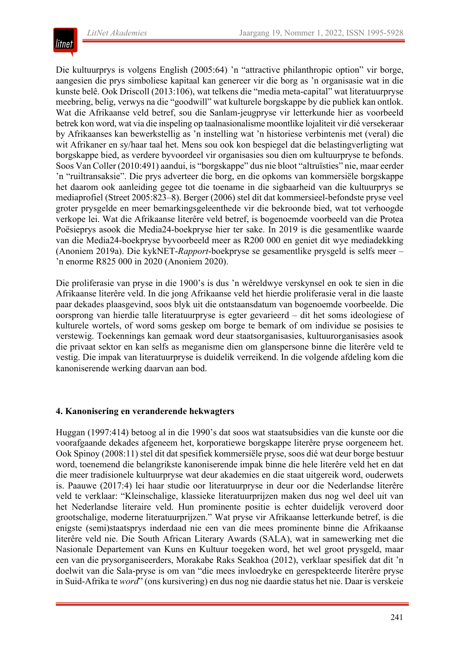

Die kultuurprys is volgens English (2005:64) 'n "attractive philanthropic option" vir borge, aangesien die prys simboliese kapitaal kan genereer vir die borg as 'n organisasie wat in die kunste belê. Ook Driscoll (2013:106), wat telkens die "media meta-capital" wat literatuurpryse meebring, belig, verwys na die "goodwill" wat kulturele borgskappe by die publiek kan ontlok. Wat die Afrikaanse veld betref, sou die Sanlam-jeugpryse vir letterkunde hier as voorbeeld betrek kon word, wat via die inspeling op taalnasionalisme moontlike lojaliteit vir dié versekeraar by Afrikaanses kan bewerkstellig as 'n instelling wat 'n historiese verbintenis met (veral) die wit Afrikaner en sy/haar taal het. Mens sou ook kon bespiegel dat die belastingverligting wat borgskappe bied, as verdere byvoordeel vir organisasies sou dien om kultuurpryse te befonds. Soos Van Coller (2010:491) aandui, is "borgskappe" dus nie bloot "altruïsties" nie, maar eerder 'n "ruiltransaksie". Die prys adverteer die borg, en die opkoms van kommersiële borgskappe het daarom ook aanleiding gegee tot die toename in die sigbaarheid van die kultuurprys se mediaprofiel (Street 2005:823–8). Berger (2006) stel dit dat kommersieel-befondste pryse veel groter prysgelde en meer bemarkingsgeleenthede vir die bekroonde bied, wat tot verhoogde verkope lei. Wat die Afrikaanse literêre veld betref, is bogenoemde voorbeeld van die Protea Poësieprys asook die Media24-boekpryse hier ter sake. In 2019 is die gesamentlike waarde van die Media24-boekpryse byvoorbeeld meer as R200 000 en geniet dit wye mediadekking (Anoniem 2019a). Die kykNET-*Rapport*-boekpryse se gesamentlike prysgeld is selfs meer – 'n enorme R825 000 in 2020 (Anoniem 2020).

Die proliferasie van pryse in die 1900's is dus 'n wêreldwye verskynsel en ook te sien in die Afrikaanse literêre veld. In die jong Afrikaanse veld het hierdie proliferasie veral in die laaste paar dekades plaasgevind, soos blyk uit die ontstaansdatum van bogenoemde voorbeelde. Die oorsprong van hierdie talle literatuurpryse is egter gevarieerd – dit het soms ideologiese of kulturele wortels, of word soms geskep om borge te bemark of om individue se posisies te verstewig. Toekennings kan gemaak word deur staatsorganisasies, kultuurorganisasies asook die privaat sektor en kan selfs as meganisme dien om glanspersone binne die literêre veld te vestig. Die impak van literatuurpryse is duidelik verreikend. In die volgende afdeling kom die kanoniserende werking daarvan aan bod.

#### **4. Kanonisering en veranderende hekwagters**

Huggan (1997:414) betoog al in die 1990's dat soos wat staatsubsidies van die kunste oor die voorafgaande dekades afgeneem het, korporatiewe borgskappe literêre pryse oorgeneem het. Ook Spinoy (2008:11) stel dit dat spesifiek kommersiële pryse, soos dié wat deur borge bestuur word, toenemend die belangrikste kanoniserende impak binne die hele literêre veld het en dat die meer tradisionele kultuurpryse wat deur akademies en die staat uitgereik word, ouderwets is. Paauwe (2017:4) lei haar studie oor literatuurpryse in deur oor die Nederlandse literêre veld te verklaar: "Kleinschalige, klassieke literatuurprijzen maken dus nog wel deel uit van het Nederlandse literaire veld. Hun prominente positie is echter duidelijk veroverd door grootschalige, moderne literatuurprijzen." Wat pryse vir Afrikaanse letterkunde betref, is die enigste (semi)staatsprys inderdaad nie een van die mees prominente binne die Afrikaanse literêre veld nie. Die South African Literary Awards (SALA), wat in samewerking met die Nasionale Departement van Kuns en Kultuur toegeken word, het wel groot prysgeld, maar een van die prysorganiseerders, Morakabe Raks Seakhoa (2012), verklaar spesifiek dat dit 'n doelwit van die Sala-pryse is om van "die mees invloedryke en gerespekteerde literêre pryse in Suid-Afrika te *word*" (ons kursivering) en dus nog nie daardie status het nie. Daar is verskeie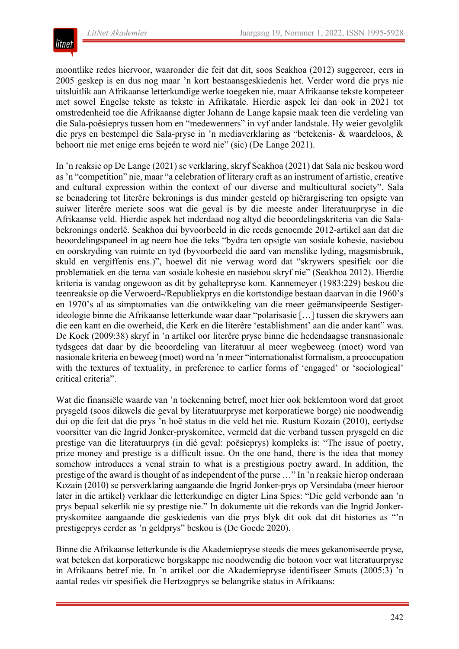

moontlike redes hiervoor, waaronder die feit dat dit, soos Seakhoa (2012) suggereer, eers in 2005 geskep is en dus nog maar 'n kort bestaansgeskiedenis het. Verder word die prys nie uitsluitlik aan Afrikaanse letterkundige werke toegeken nie, maar Afrikaanse tekste kompeteer met sowel Engelse tekste as tekste in Afrikatale. Hierdie aspek lei dan ook in 2021 tot omstredenheid toe die Afrikaanse digter Johann de Lange kapsie maak teen die verdeling van die Sala-poësieprys tussen hom en "medewenners" in vyf ander landstale. Hy weier gevolglik die prys en bestempel die Sala-pryse in 'n mediaverklaring as "betekenis- & waardeloos, & behoort nie met enige erns bejeën te word nie" (sic) (De Lange 2021).

In 'n reaksie op De Lange (2021) se verklaring, skryf Seakhoa (2021) dat Sala nie beskou word as'n "competition" nie, maar "a celebration of literary craft as an instrument of artistic, creative and cultural expression within the context of our diverse and multicultural society". Sala se benadering tot literêre bekronings is dus minder gesteld op hiërargisering ten opsigte van suiwer literêre meriete soos wat die geval is by die meeste ander literatuurpryse in die Afrikaanse veld. Hierdie aspek het inderdaad nog altyd die beoordelingskriteria van die Salabekronings onderlê. Seakhoa dui byvoorbeeld in die reeds genoemde 2012-artikel aan dat die beoordelingspaneel in ag neem hoe die teks "bydra ten opsigte van sosiale kohesie, nasiebou en oorskryding van ruimte en tyd (byvoorbeeld die aard van menslike lyding, magsmisbruik, skuld en vergiffenis ens.)", hoewel dit nie verwag word dat "skrywers spesifiek oor die problematiek en die tema van sosiale kohesie en nasiebou skryf nie" (Seakhoa 2012). Hierdie kriteria is vandag ongewoon as dit by gehaltepryse kom. Kannemeyer (1983:229) beskou die teenreaksie op die Verwoerd-/Republiekprys en die kortstondige bestaan daarvan in die 1960's en 1970's al as simptomaties van die ontwikkeling van die meer geëmansipeerde Sestigerideologie binne die Afrikaanse letterkunde waar daar "polarisasie […] tussen die skrywers aan die een kant en die owerheid, die Kerk en die literêre 'establishment' aan die ander kant" was. De Kock (2009:38) skryf in 'n artikel oor literêre pryse binne die hedendaagse transnasionale tydsgees dat daar by die beoordeling van literatuur al meer wegbeweeg (moet) word van nasionale kriteria en beweeg (moet) word na 'n meer "internationalist formalism, a preoccupation with the textures of textuality, in preference to earlier forms of 'engaged' or 'sociological' critical criteria".

Wat die finansiële waarde van 'n toekenning betref, moet hier ook beklemtoon word dat groot prysgeld (soos dikwels die geval by literatuurpryse met korporatiewe borge) nie noodwendig dui op die feit dat die prys 'n hoë status in die veld het nie. Rustum Kozain (2010), eertydse voorsitter van die Ingrid Jonker-pryskomitee, vermeld dat die verband tussen prysgeld en die prestige van die literatuurprys (in dié geval: poësieprys) kompleks is: "The issue of poetry, prize money and prestige is a difficult issue. On the one hand, there is the idea that money somehow introduces a venal strain to what is a prestigious poetry award. In addition, the prestige of the award is thought of as independent of the purse ..." In 'n reaksie hierop onderaan Kozain (2010) se persverklaring aangaande die Ingrid Jonker-prys op Versindaba (meer hieroor later in die artikel) verklaar die letterkundige en digter Lina Spies: "Die geld verbonde aan 'n prys bepaal sekerlik nie sy prestige nie." In dokumente uit die rekords van die Ingrid Jonkerpryskomitee aangaande die geskiedenis van die prys blyk dit ook dat dit histories as "'n prestigeprys eerder as 'n geldprys" beskou is (De Goede 2020).

Binne die Afrikaanse letterkunde is die Akademiepryse steeds die mees gekanoniseerde pryse, wat beteken dat korporatiewe borgskappe nie noodwendig die botoon voer wat literatuurpryse in Afrikaans betref nie. In 'n artikel oor die Akademiepryse identifiseer Smuts (2005:3) 'n aantal redes vir spesifiek die Hertzogprys se belangrike status in Afrikaans: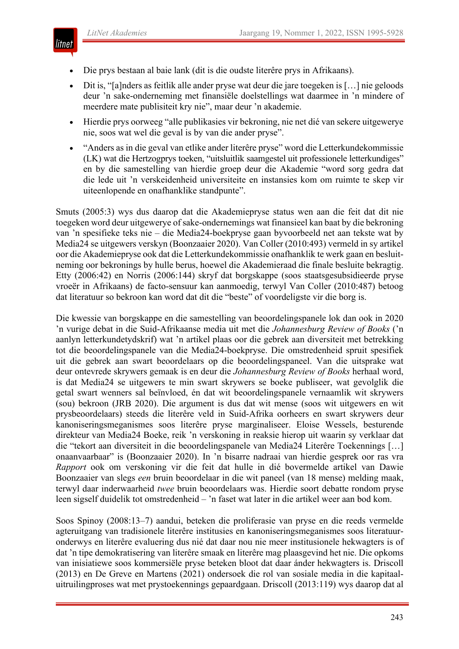

- Die prys bestaan al baie lank (dit is die oudste literêre prys in Afrikaans).
- Dit is, "[a]nders as feitlik alle ander pryse wat deur die jare toegeken is [...] nie geloods deur 'n sake-onderneming met finansiële doelstellings wat daarmee in 'n mindere of meerdere mate publisiteit kry nie", maar deur 'n akademie.
- Hierdie prys oorweeg "alle publikasies vir bekroning, nie net dié van sekere uitgewerye nie, soos wat wel die geval is by van die ander pryse".
- "Anders as in die geval van etlike ander literêre pryse" word die Letterkundekommissie (LK) wat die Hertzogprys toeken, "uitsluitlik saamgestel uit professionele letterkundiges" en by die samestelling van hierdie groep deur die Akademie "word sorg gedra dat die lede uit 'n verskeidenheid universiteite en instansies kom om ruimte te skep vir uiteenlopende en onafhanklike standpunte".

Smuts (2005:3) wys dus daarop dat die Akademiepryse status wen aan die feit dat dit nie toegeken word deur uitgewerye of sake-ondernemings wat finansieel kan baat by die bekroning van 'n spesifieke teks nie – die Media24-boekpryse gaan byvoorbeeld net aan tekste wat by Media24 se uitgewers verskyn (Boonzaaier 2020). Van Coller (2010:493) vermeld in sy artikel oor die Akademiepryse ook dat die Letterkundekommissie onafhanklik te werk gaan en besluitneming oor bekronings by hulle berus, hoewel die Akademieraad die finale besluite bekragtig. Etty (2006:42) en Norris (2006:144) skryf dat borgskappe (soos staatsgesubsidieerde pryse vroeër in Afrikaans) de facto-sensuur kan aanmoedig, terwyl Van Coller (2010:487) betoog dat literatuur so bekroon kan word dat dit die "beste" of voordeligste vir die borg is.

Die kwessie van borgskappe en die samestelling van beoordelingspanele lok dan ook in 2020 'n vurige debat in die Suid-Afrikaanse media uit met die *Johannesburg Review of Books* ('n aanlyn letterkundetydskrif) wat 'n artikel plaas oor die gebrek aan diversiteit met betrekking tot die beoordelingspanele van die Media24-boekpryse. Die omstredenheid spruit spesifiek uit die gebrek aan swart beoordelaars op die beoordelingspaneel. Van die uitsprake wat deur ontevrede skrywers gemaak is en deur die *Johannesburg Review of Books* herhaal word, is dat Media24 se uitgewers te min swart skrywers se boeke publiseer, wat gevolglik die getal swart wenners sal beïnvloed, én dat wit beoordelingspanele vernaamlik wit skrywers (sou) bekroon (JRB 2020). Die argument is dus dat wit mense (soos wit uitgewers en wit prysbeoordelaars) steeds die literêre veld in Suid-Afrika oorheers en swart skrywers deur kanoniseringsmeganismes soos literêre pryse marginaliseer. Eloise Wessels, besturende direkteur van Media24 Boeke, reik 'n verskoning in reaksie hierop uit waarin sy verklaar dat die "tekort aan diversiteit in die beoordelingspanele van Media24 Literêre Toekennings […] onaanvaarbaar" is (Boonzaaier 2020). In 'n bisarre nadraai van hierdie gesprek oor ras vra *Rapport* ook om verskoning vir die feit dat hulle in dié bovermelde artikel van Dawie Boonzaaier van slegs *een* bruin beoordelaar in die wit paneel (van 18 mense) melding maak, terwyl daar inderwaarheid *twee* bruin beoordelaars was. Hierdie soort debatte rondom pryse leen sigself duidelik tot omstredenheid – 'n faset wat later in die artikel weer aan bod kom.

Soos Spinoy (2008:13–7) aandui, beteken die proliferasie van pryse en die reeds vermelde agteruitgang van tradisionele literêre institusies en kanoniseringsmeganismes soos literatuuronderwys en literêre evaluering dus nié dat daar nou nie meer institusionele hekwagters is of dat 'n tipe demokratisering van literêre smaak en literêre mag plaasgevind het nie. Die opkoms van inisiatiewe soos kommersiële pryse beteken bloot dat daar ánder hekwagters is. Driscoll (2013) en De Greve en Martens (2021) ondersoek die rol van sosiale media in die kapitaaluitruilingproses wat met prystoekennings gepaardgaan. Driscoll (2013:119) wys daarop dat al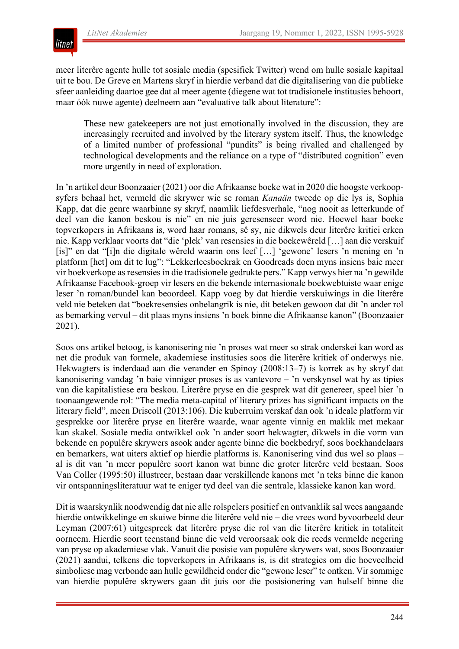

meer literêre agente hulle tot sosiale media (spesifiek Twitter) wend om hulle sosiale kapitaal uit te bou. De Greve en Martens skryf in hierdie verband dat die digitalisering van die publieke sfeer aanleiding daartoe gee dat al meer agente (diegene wat tot tradisionele institusies behoort, maar óók nuwe agente) deelneem aan "evaluative talk about literature":

These new gatekeepers are not just emotionally involved in the discussion, they are increasingly recruited and involved by the literary system itself. Thus, the knowledge of a limited number of professional "pundits" is being rivalled and challenged by technological developments and the reliance on a type of "distributed cognition" even more urgently in need of exploration.

In 'n artikel deur Boonzaaier (2021) oor die Afrikaanse boeke wat in 2020 die hoogste verkoopsyfers behaal het, vermeld die skrywer wie se roman *Kanaän* tweede op die lys is, Sophia Kapp, dat die genre waarbinne sy skryf, naamlik liefdesverhale, "nog nooit as letterkunde of deel van die kanon beskou is nie" en nie juis geresenseer word nie. Hoewel haar boeke topverkopers in Afrikaans is, word haar romans, sê sy, nie dikwels deur literêre kritici erken nie. Kapp verklaar voorts dat "die 'plek' van resensies in die boekewêreld […] aan die verskuif [is]" en dat "[i]n die digitale wêreld waarin ons leef […] 'gewone' lesers 'n mening en 'n platform [het] om dit te lug": "Lekkerleesboekrak en Goodreads doen myns insiens baie meer vir boekverkope as resensies in die tradisionele gedrukte pers." Kapp verwys hier na 'n gewilde Afrikaanse Facebook-groep vir lesers en die bekende internasionale boekwebtuiste waar enige leser 'n roman/bundel kan beoordeel. Kapp voeg by dat hierdie verskuiwings in die literêre veld nie beteken dat "boekresensies onbelangrik is nie, dit beteken gewoon dat dit 'n ander rol as bemarking vervul – dit plaas myns insiens 'n boek binne die Afrikaanse kanon" (Boonzaaier 2021).

Soos ons artikel betoog, is kanonisering nie 'n proses wat meer so strak onderskei kan word as net die produk van formele, akademiese institusies soos die literêre kritiek of onderwys nie. Hekwagters is inderdaad aan die verander en Spinoy (2008:13–7) is korrek as hy skryf dat kanonisering vandag 'n baie vinniger proses is as vantevore – 'n verskynsel wat hy as tipies van die kapitalistiese era beskou. Literêre pryse en die gesprek wat dit genereer, speel hier 'n toonaangewende rol: "The media meta-capital of literary prizes has significant impacts on the literary field", meen Driscoll (2013:106). Die kuberruim verskaf dan ook 'n ideale platform vir gesprekke oor literêre pryse en literêre waarde, waar agente vinnig en maklik met mekaar kan skakel. Sosiale media ontwikkel ook 'n ander soort hekwagter, dikwels in die vorm van bekende en populêre skrywers asook ander agente binne die boekbedryf, soos boekhandelaars en bemarkers, wat uiters aktief op hierdie platforms is. Kanonisering vind dus wel so plaas – al is dit van 'n meer populêre soort kanon wat binne die groter literêre veld bestaan. Soos Van Coller (1995:50) illustreer, bestaan daar verskillende kanons met 'n teks binne die kanon vir ontspanningsliteratuur wat te eniger tyd deel van die sentrale, klassieke kanon kan word.

Dit is waarskynlik noodwendig dat nie alle rolspelers positief en ontvanklik sal wees aangaande hierdie ontwikkelinge en skuiwe binne die literêre veld nie – die vrees word byvoorbeeld deur Leyman (2007:61) uitgespreek dat literêre pryse die rol van die literêre kritiek in totaliteit oorneem. Hierdie soort teenstand binne die veld veroorsaak ook die reeds vermelde negering van pryse op akademiese vlak. Vanuit die posisie van populêre skrywers wat, soos Boonzaaier (2021) aandui, telkens die topverkopers in Afrikaans is, is dit strategies om die hoeveelheid simboliese mag verbonde aan hulle gewildheid onder die "gewone leser" te ontken. Virsommige van hierdie populêre skrywers gaan dit juis oor die posisionering van hulself binne die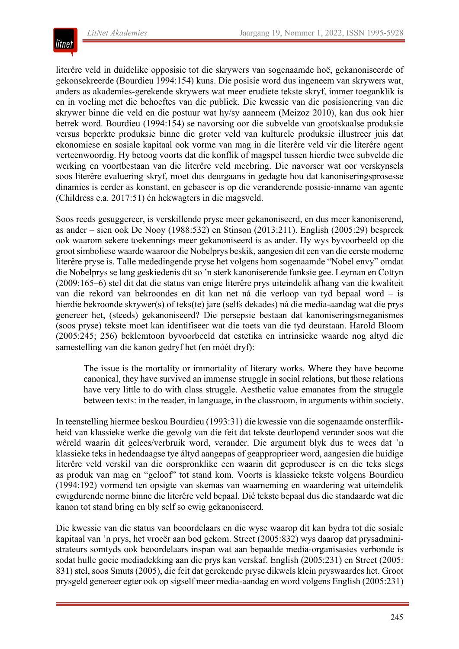

literêre veld in duidelike opposisie tot die skrywers van sogenaamde hoë, gekanoniseerde of gekonsekreerde (Bourdieu 1994:154) kuns. Die posisie word dus ingeneem van skrywers wat, anders as akademies-gerekende skrywers wat meer erudiete tekste skryf, immer toeganklik is en in voeling met die behoeftes van die publiek. Die kwessie van die posisionering van die skrywer binne die veld en die postuur wat hy/sy aanneem (Meizoz 2010), kan dus ook hier betrek word. Bourdieu (1994:154) se navorsing oor die subvelde van grootskaalse produksie versus beperkte produksie binne die groter veld van kulturele produksie illustreer juis dat ekonomiese en sosiale kapitaal ook vorme van mag in die literêre veld vir die literêre agent verteenwoordig. Hy betoog voorts dat die konflik of magspel tussen hierdie twee subvelde die werking en voortbestaan van die literêre veld meebring. Die navorser wat oor verskynsels soos literêre evaluering skryf, moet dus deurgaans in gedagte hou dat kanoniseringsprosesse dinamies is eerder as konstant, en gebaseer is op die veranderende posisie-inname van agente (Childress e.a. 2017:51) én hekwagters in die magsveld.

Soos reeds gesuggereer, is verskillende pryse meer gekanoniseerd, en dus meer kanoniserend, as ander – sien ook De Nooy (1988:532) en Stinson (2013:211). English (2005:29) bespreek ook waarom sekere toekennings meer gekanoniseerd is as ander. Hy wys byvoorbeeld op die grootsimboliese waarde waaroor die Nobelprys beskik, aangesien dit een van die eerste moderne literêre pryse is. Talle mededingende pryse het volgens hom sogenaamde "Nobel envy" omdat die Nobelprys se lang geskiedenis dit so 'n sterk kanoniserende funksie gee. Leyman en Cottyn (2009:165–6) stel dit dat die status van enige literêre prys uiteindelik afhang van die kwaliteit van die rekord van bekroondes en dit kan net ná die verloop van tyd bepaal word – is hierdie bekroonde skrywer(s) of teks(te) jare (selfs dekades) ná die media-aandag wat die prys genereer het, (steeds) gekanoniseerd? Die persepsie bestaan dat kanoniseringsmeganismes (soos pryse) tekste moet kan identifiseer wat die toets van die tyd deurstaan. Harold Bloom (2005:245; 256) beklemtoon byvoorbeeld dat estetika en intrinsieke waarde nog altyd die samestelling van die kanon gedryf het (en móét dryf):

The issue is the mortality or immortality of literary works. Where they have become canonical, they have survived an immense struggle in social relations, but those relations have very little to do with class struggle. Aesthetic value emanates from the struggle between texts: in the reader, in language, in the classroom, in arguments within society.

In teenstelling hiermee beskou Bourdieu (1993:31) die kwessie van die sogenaamde onsterflikheid van klassieke werke die gevolg van die feit dat tekste deurlopend verander soos wat die wêreld waarin dit gelees/verbruik word, verander. Die argument blyk dus te wees dat 'n klassieke teks in hedendaagse tye áltyd aangepas of geapproprieer word, aangesien die huidige literêre veld verskil van die oorspronklike een waarin dit geproduseer is en die teks slegs as produk van mag en "geloof" tot stand kom. Voorts is klassieke tekste volgens Bourdieu (1994:192) vormend ten opsigte van skemas van waarneming en waardering wat uiteindelik ewigdurende norme binne die literêre veld bepaal. Dié tekste bepaal dus die standaarde wat die kanon tot stand bring en bly self so ewig gekanoniseerd.

Die kwessie van die status van beoordelaars en die wyse waarop dit kan bydra tot die sosiale kapitaal van 'n prys, het vroeër aan bod gekom. Street (2005:832) wys daarop dat prysadministrateurs somtyds ook beoordelaars inspan wat aan bepaalde media-organisasies verbonde is sodat hulle goeie mediadekking aan die prys kan verskaf. English (2005:231) en Street (2005: 831) stel, soos Smuts (2005), die feit dat gerekende pryse dikwels klein pryswaardes het. Groot prysgeld genereer egter ook op sigself meer media-aandag en word volgens English (2005:231)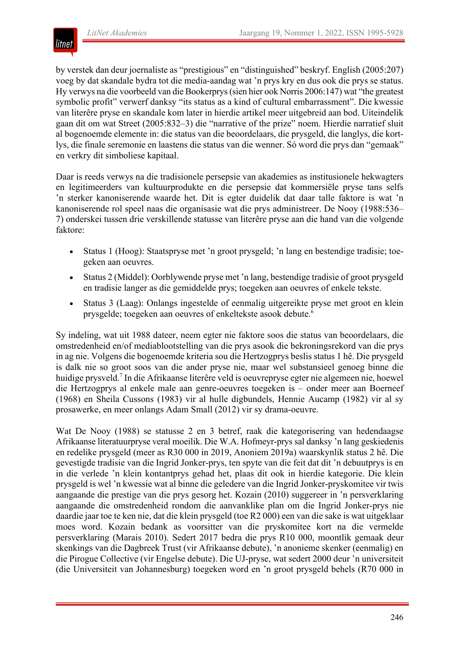

by verstek dan deur joernaliste as "prestigious" en "distinguished" beskryf. English (2005:207) voeg by dat skandale bydra tot die media-aandag wat 'n prys kry en dus ook die prys se status. Hy verwys na die voorbeeld van die Bookerprys(sien hier ook Norris 2006:147) wat "the greatest symbolic profit" verwerf danksy "its status as a kind of cultural embarrassment". Die kwessie van literêre pryse en skandale kom later in hierdie artikel meer uitgebreid aan bod. Uiteindelik gaan dit om wat Street (2005:832–3) die "narrative of the prize" noem. Hierdie narratief sluit al bogenoemde elemente in: die status van die beoordelaars, die prysgeld, die langlys, die kortlys, die finale seremonie en laastens die status van die wenner. Só word die prys dan "gemaak" en verkry dit simboliese kapitaal.

Daar is reeds verwys na die tradisionele persepsie van akademies as institusionele hekwagters en legitimeerders van kultuurprodukte en die persepsie dat kommersiële pryse tans selfs 'n sterker kanoniserende waarde het. Dit is egter duidelik dat daar talle faktore is wat 'n kanoniserende rol speel naas die organisasie wat die prys administreer. De Nooy (1988:536– 7) onderskei tussen drie verskillende statusse van literêre pryse aan die hand van die volgende faktore:

- Status 1 (Hoog): Staatspryse met 'n groot prysgeld; 'n lang en bestendige tradisie; toegeken aan oeuvres.
- Status 2 (Middel): Oorblywende pryse met 'n lang, bestendige tradisie of groot prysgeld en tradisie langer as die gemiddelde prys; toegeken aan oeuvres of enkele tekste.
- Status 3 (Laag): Onlangs ingestelde of eenmalig uitgereikte pryse met groot en klein prysgelde; toegeken aan oeuvres of enkeltekste asook debute.6

Sy indeling, wat uit 1988 dateer, neem egter nie faktore soos die status van beoordelaars, die omstredenheid en/of mediablootstelling van die prys asook die bekroningsrekord van die prys in ag nie. Volgens die bogenoemde kriteria sou die Hertzogprys beslis status 1 hê. Die prysgeld is dalk nie so groot soos van die ander pryse nie, maar wel substansieel genoeg binne die huidige prysveld.7 In die Afrikaanse literêre veld is oeuvrepryse egter nie algemeen nie, hoewel die Hertzogprys al enkele male aan genre-oeuvres toegeken is – onder meer aan Boerneef (1968) en Sheila Cussons (1983) vir al hulle digbundels, Hennie Aucamp (1982) vir al sy prosawerke, en meer onlangs Adam Small (2012) vir sy drama-oeuvre.

Wat De Nooy (1988) se statusse 2 en 3 betref, raak die kategorisering van hedendaagse Afrikaanse literatuurpryse veral moeilik. Die W.A. Hofmeyr-prys sal danksy 'n lang geskiedenis en redelike prysgeld (meer as R30 000 in 2019, Anoniem 2019a) waarskynlik status 2 hê. Die gevestigde tradisie van die Ingrid Jonker-prys, ten spyte van die feit dat dit 'n debuutprys is en in die verlede 'n klein kontantprys gehad het, plaas dit ook in hierdie kategorie. Die klein prysgeld is wel 'n kwessie wat al binne die geledere van die Ingrid Jonker-pryskomitee vir twis aangaande die prestige van die prys gesorg het. Kozain (2010) suggereer in 'n persverklaring aangaande die omstredenheid rondom die aanvanklike plan om die Ingrid Jonker-prys nie daardie jaar toe te ken nie, dat die klein prysgeld (toe R2 000) een van die sake is wat uitgeklaar moes word. Kozain bedank as voorsitter van die pryskomitee kort na die vermelde persverklaring (Marais 2010). Sedert 2017 bedra die prys R10 000, moontlik gemaak deur skenkings van die Dagbreek Trust (vir Afrikaanse debute), 'n anonieme skenker (eenmalig) en die Pirogue Collective (vir Engelse debute). Die UJ-pryse, wat sedert 2000 deur 'n universiteit (die Universiteit van Johannesburg) toegeken word en 'n groot prysgeld behels (R70 000 in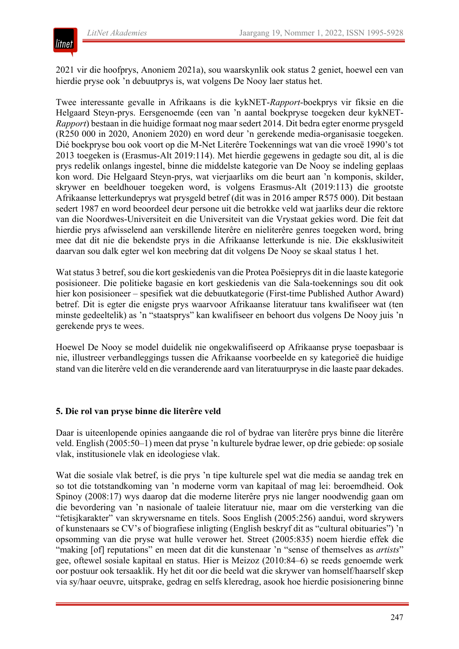

2021 vir die hoofprys, Anoniem 2021a), sou waarskynlik ook status 2 geniet, hoewel een van hierdie pryse ook 'n debuutprys is, wat volgens De Nooy laer status het.

Twee interessante gevalle in Afrikaans is die kykNET-*Rapport*-boekprys vir fiksie en die Helgaard Steyn-prys. Eersgenoemde (een van 'n aantal boekpryse toegeken deur kykNET-*Rapport*) bestaan in die huidige formaat nog maar sedert 2014. Dit bedra egter enorme prysgeld (R250 000 in 2020, Anoniem 2020) en word deur 'n gerekende media-organisasie toegeken. Dié boekpryse bou ook voort op die M-Net Literêre Toekennings wat van die vroeë 1990's tot 2013 toegeken is (Erasmus-Alt 2019:114). Met hierdie gegewens in gedagte sou dit, al is die prys redelik onlangs ingestel, binne die middelste kategorie van De Nooy se indeling geplaas kon word. Die Helgaard Steyn-prys, wat vierjaarliks om die beurt aan 'n komponis, skilder, skrywer en beeldhouer toegeken word, is volgens Erasmus-Alt (2019:113) die grootste Afrikaanse letterkundeprys wat prysgeld betref (dit was in 2016 amper R575 000). Dit bestaan sedert 1987 en word beoordeel deur persone uit die betrokke veld wat jaarliks deur die rektore van die Noordwes-Universiteit en die Universiteit van die Vrystaat gekies word. Die feit dat hierdie prys afwisselend aan verskillende literêre en nieliterêre genres toegeken word, bring mee dat dit nie die bekendste prys in die Afrikaanse letterkunde is nie. Die eksklusiwiteit daarvan sou dalk egter wel kon meebring dat dit volgens De Nooy se skaal status 1 het.

Wat status 3 betref, sou die kort geskiedenis van die Protea Poësieprys dit in die laaste kategorie posisioneer. Die politieke bagasie en kort geskiedenis van die Sala-toekennings sou dit ook hier kon posisioneer – spesifiek wat die debuutkategorie (First-time Published Author Award) betref. Dit is egter die enigste prys waarvoor Afrikaanse literatuur tans kwalifiseer wat (ten minste gedeeltelik) as 'n "staatsprys" kan kwalifiseer en behoort dus volgens De Nooy juis 'n gerekende prys te wees.

Hoewel De Nooy se model duidelik nie ongekwalifiseerd op Afrikaanse pryse toepasbaar is nie, illustreer verbandleggings tussen die Afrikaanse voorbeelde en sy kategorieë die huidige stand van die literêre veld en die veranderende aard van literatuurpryse in die laaste paar dekades.

#### **5. Die rol van pryse binne die literêre veld**

Daar is uiteenlopende opinies aangaande die rol of bydrae van literêre prys binne die literêre veld. English (2005:50–1) meen dat pryse 'n kulturele bydrae lewer, op drie gebiede: op sosiale vlak, institusionele vlak en ideologiese vlak.

Wat die sosiale vlak betref, is die prys 'n tipe kulturele spel wat die media se aandag trek en so tot die totstandkoming van 'n moderne vorm van kapitaal of mag lei: beroemdheid. Ook Spinoy (2008:17) wys daarop dat die moderne literêre prys nie langer noodwendig gaan om die bevordering van 'n nasionale of taaleie literatuur nie, maar om die versterking van die "fetisjkarakter" van skrywersname en titels. Soos English (2005:256) aandui, word skrywers of kunstenaars se CV's of biografiese inligting (English beskryf dit as "cultural obituaries") 'n opsomming van die pryse wat hulle verower het. Street (2005:835) noem hierdie effek die "making [of] reputations" en meen dat dit die kunstenaar 'n "sense of themselves as *artists*" gee, oftewel sosiale kapitaal en status. Hier is Meizoz (2010:84–6) se reeds genoemde werk oor postuur ook tersaaklik. Hy het dit oor die beeld wat die skrywer van homself/haarself skep via sy/haar oeuvre, uitsprake, gedrag en selfs kleredrag, asook hoe hierdie posisionering binne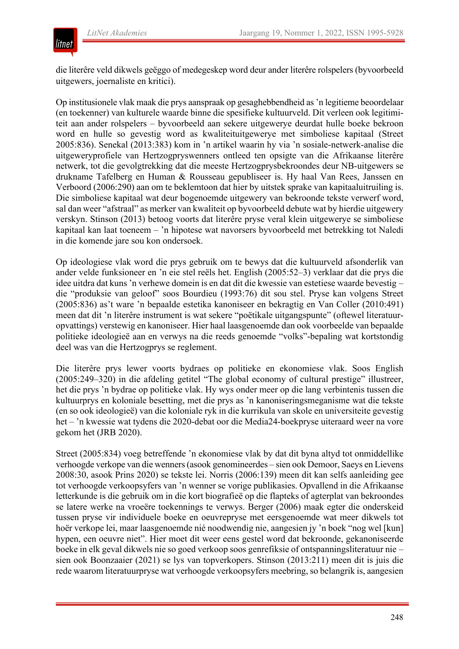

die literêre veld dikwels geëggo of medegeskep word deur ander literêre rolspelers (byvoorbeeld uitgewers, joernaliste en kritici).

Op institusionele vlak maak die prys aanspraak op gesaghebbendheid as'n legitieme beoordelaar (en toekenner) van kulturele waarde binne die spesifieke kultuurveld. Dit verleen ook legitimiteit aan ander rolspelers – byvoorbeeld aan sekere uitgewerye deurdat hulle boeke bekroon word en hulle so gevestig word as kwaliteituitgewerye met simboliese kapitaal (Street 2005:836). Senekal (2013:383) kom in 'n artikel waarin hy via 'n sosiale-netwerk-analise die uitgeweryprofiele van Hertzogpryswenners ontleed ten opsigte van die Afrikaanse literêre netwerk, tot die gevolgtrekking dat die meeste Hertzogprysbekroondes deur NB-uitgewers se drukname Tafelberg en Human & Rousseau gepubliseer is. Hy haal Van Rees, Janssen en Verboord (2006:290) aan om te beklemtoon dat hier by uitstek sprake van kapitaaluitruiling is. Die simboliese kapitaal wat deur bogenoemde uitgewery van bekroonde tekste verwerf word, sal dan weer "afstraal" as merker van kwaliteit op byvoorbeeld debute wat by hierdie uitgewery verskyn. Stinson (2013) betoog voorts dat literêre pryse veral klein uitgewerye se simboliese kapitaal kan laat toeneem – 'n hipotese wat navorsers byvoorbeeld met betrekking tot Naledi in die komende jare sou kon ondersoek.

Op ideologiese vlak word die prys gebruik om te bewys dat die kultuurveld afsonderlik van ander velde funksioneer en 'n eie stel reëls het. English (2005:52–3) verklaar dat die prys die idee uitdra dat kuns 'n verhewe domein is en dat dit die kwessie van estetiese waarde bevestig – die "produksie van geloof" soos Bourdieu (1993:76) dit sou stel. Pryse kan volgens Street (2005:836) as't ware 'n bepaalde estetika kanoniseer en bekragtig en Van Coller (2010:491) meen dat dit 'n literêre instrument is wat sekere "poëtikale uitgangspunte" (oftewel literatuuropvattings) verstewig en kanoniseer. Hier haal laasgenoemde dan ook voorbeelde van bepaalde politieke ideologieë aan en verwys na die reeds genoemde "volks"-bepaling wat kortstondig deel was van die Hertzogprys se reglement.

Die literêre prys lewer voorts bydraes op politieke en ekonomiese vlak. Soos English (2005:249–320) in die afdeling getitel "The global economy of cultural prestige" illustreer, het die prys 'n bydrae op politieke vlak. Hy wys onder meer op die lang verbintenis tussen die kultuurprys en koloniale besetting, met die prys as 'n kanoniseringsmeganisme wat die tekste (en so ook ideologieë) van die koloniale ryk in die kurrikula van skole en universiteite gevestig het – 'n kwessie wat tydens die 2020-debat oor die Media24-boekpryse uiteraard weer na vore gekom het (JRB 2020).

Street (2005:834) voeg betreffende 'n ekonomiese vlak by dat dit byna altyd tot onmiddellike verhoogde verkope van die wenners(asook genomineerdes – sien ook Demoor, Saeys en Lievens 2008:30, asook Prins 2020) se tekste lei. Norris (2006:139) meen dit kan selfs aanleiding gee tot verhoogde verkoopsyfers van 'n wenner se vorige publikasies. Opvallend in die Afrikaanse letterkunde is die gebruik om in die kort biografieë op die flapteks of agterplat van bekroondes se latere werke na vroeëre toekennings te verwys. Berger (2006) maak egter die onderskeid tussen pryse vir individuele boeke en oeuvrepryse met eersgenoemde wat meer dikwels tot hoër verkope lei, maar laasgenoemde nié noodwendig nie, aangesien jy 'n boek "nog wel [kun] hypen, een oeuvre niet". Hier moet dit weer eens gestel word dat bekroonde, gekanoniseerde boeke in elk geval dikwels nie so goed verkoop soos genrefiksie of ontspanningsliteratuur nie – sien ook Boonzaaier (2021) se lys van topverkopers. Stinson (2013:211) meen dit is juis die rede waarom literatuurpryse wat verhoogde verkoopsyfers meebring, so belangrik is, aangesien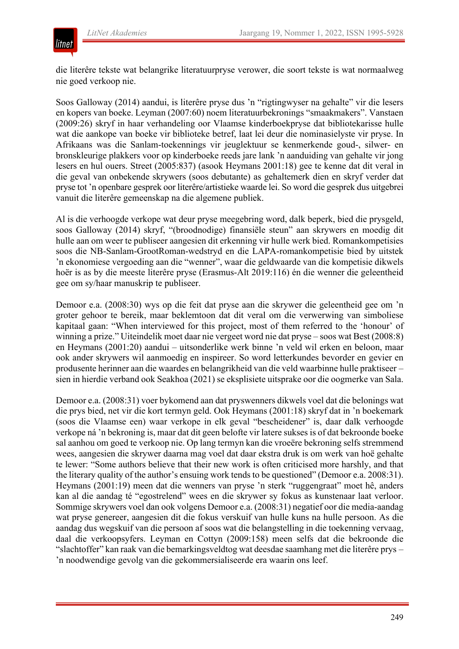

die literêre tekste wat belangrike literatuurpryse verower, die soort tekste is wat normaalweg nie goed verkoop nie.

Soos Galloway (2014) aandui, is literêre pryse dus 'n "rigtingwyser na gehalte" vir die lesers en kopers van boeke. Leyman (2007:60) noem literatuurbekronings "smaakmakers". Vanstaen (2009:26) skryf in haar verhandeling oor Vlaamse kinderboekpryse dat bibliotekarisse hulle wat die aankope van boeke vir biblioteke betref, laat lei deur die nominasielyste vir pryse. In Afrikaans was die Sanlam-toekennings vir jeuglektuur se kenmerkende goud-, silwer- en bronskleurige plakkers voor op kinderboeke reeds jare lank 'n aanduiding van gehalte vir jong lesers en hul ouers. Street (2005:837) (asook Heymans 2001:18) gee te kenne dat dit veral in die geval van onbekende skrywers (soos debutante) as gehaltemerk dien en skryf verder dat pryse tot 'n openbare gesprek oor literêre/artistieke waarde lei. So word die gesprek dus uitgebrei vanuit die literêre gemeenskap na die algemene publiek.

Al is die verhoogde verkope wat deur pryse meegebring word, dalk beperk, bied die prysgeld, soos Galloway (2014) skryf, "(broodnodige) finansiële steun" aan skrywers en moedig dit hulle aan om weer te publiseer aangesien dit erkenning vir hulle werk bied. Romankompetisies soos die NB-Sanlam-GrootRoman-wedstryd en die LAPA-romankompetisie bied by uitstek 'n ekonomiese vergoeding aan die "wenner", waar die geldwaarde van die kompetisie dikwels hoër is as by die meeste literêre pryse (Erasmus-Alt 2019:116) én die wenner die geleentheid gee om sy/haar manuskrip te publiseer.

Demoor e.a. (2008:30) wys op die feit dat pryse aan die skrywer die geleentheid gee om 'n groter gehoor te bereik, maar beklemtoon dat dit veral om die verwerwing van simboliese kapitaal gaan: "When interviewed for this project, most of them referred to the 'honour' of winning a prize." Uiteindelik moet daar nie vergeet word nie dat pryse – soos wat Best (2008:8) en Heymans (2001:20) aandui – uitsonderlike werk binne 'n veld wil erken en beloon, maar ook ander skrywers wil aanmoedig en inspireer. So word letterkundes bevorder en gevier en produsente herinner aan die waardes en belangrikheid van die veld waarbinne hulle praktiseer – sien in hierdie verband ook Seakhoa (2021) se eksplisiete uitsprake oor die oogmerke van Sala.

Demoor e.a. (2008:31) voer bykomend aan dat pryswenners dikwels voel dat die belonings wat die prys bied, net vir die kort termyn geld. Ook Heymans (2001:18) skryf dat in 'n boekemark (soos die Vlaamse een) waar verkope in elk geval "bescheidener" is, daar dalk verhoogde verkope ná 'n bekroning is, maar dat dit geen belofte vir latere sukses is of dat bekroonde boeke sal aanhou om goed te verkoop nie. Op lang termyn kan die vroeëre bekroning selfs stremmend wees, aangesien die skrywer daarna mag voel dat daar ekstra druk is om werk van hoë gehalte te lewer: "Some authors believe that their new work is often criticised more harshly, and that the literary quality of the author's ensuing work tends to be questioned" (Demoor e.a. 2008:31). Heymans (2001:19) meen dat die wenners van pryse 'n sterk "ruggengraat" moet hê, anders kan al die aandag té "egostrelend" wees en die skrywer sy fokus as kunstenaar laat verloor. Sommige skrywers voel dan ook volgens Demoor e.a. (2008:31) negatief oor die media-aandag wat pryse genereer, aangesien dit die fokus verskuif van hulle kuns na hulle persoon. As die aandag dus wegskuif van die persoon af soos wat die belangstelling in die toekenning vervaag, daal die verkoopsyfers. Leyman en Cottyn (2009:158) meen selfs dat die bekroonde die "slachtoffer" kan raak van die bemarkingsveldtog wat deesdae saamhang met die literêre prys – 'n noodwendige gevolg van die gekommersialiseerde era waarin ons leef.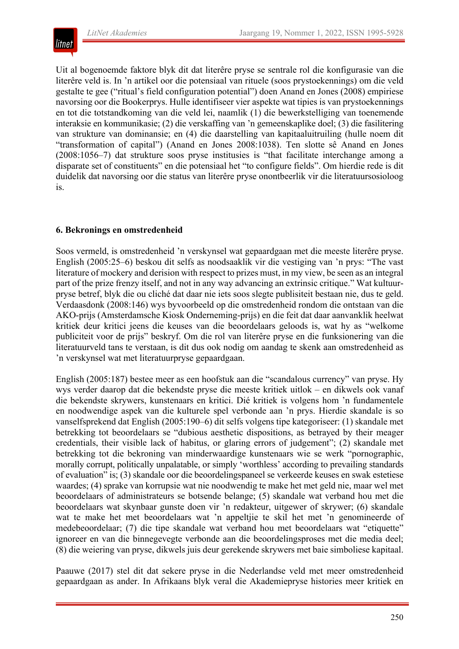

Uit al bogenoemde faktore blyk dit dat literêre pryse se sentrale rol die konfigurasie van die literêre veld is. In 'n artikel oor die potensiaal van rituele (soos prystoekennings) om die veld gestalte te gee ("ritual's field configuration potential") doen Anand en Jones (2008) empiriese navorsing oor die Bookerprys. Hulle identifiseer vier aspekte wat tipies is van prystoekennings en tot die totstandkoming van die veld lei, naamlik (1) die bewerkstelliging van toenemende interaksie en kommunikasie; (2) die verskaffing van 'n gemeenskaplike doel; (3) die fasilitering van strukture van dominansie; en (4) die daarstelling van kapitaaluitruiling (hulle noem dit "transformation of capital") (Anand en Jones 2008:1038). Ten slotte sê Anand en Jones (2008:1056–7) dat strukture soos pryse institusies is "that facilitate interchange among a disparate set of constituents" en die potensiaal het "to configure fields". Om hierdie rede is dit duidelik dat navorsing oor die status van literêre pryse onontbeerlik vir die literatuursosioloog is.

# **6. Bekronings en omstredenheid**

Soos vermeld, is omstredenheid 'n verskynsel wat gepaardgaan met die meeste literêre pryse. English (2005:25–6) beskou dit selfs as noodsaaklik vir die vestiging van 'n prys: "The vast literature of mockery and derision with respect to prizes must, in my view, be seen as an integral part of the prize frenzy itself, and not in any way advancing an extrinsic critique." Wat kultuurpryse betref, blyk die ou cliché dat daar nie iets soos slegte publisiteit bestaan nie, dus te geld. Verdaasdonk (2008:146) wys byvoorbeeld op die omstredenheid rondom die ontstaan van die AKO-prijs (Amsterdamsche Kiosk Onderneming-prijs) en die feit dat daar aanvanklik heelwat kritiek deur kritici jeens die keuses van die beoordelaars geloods is, wat hy as "welkome publiciteit voor de prijs" beskryf. Om die rol van literêre pryse en die funksionering van die literatuurveld tans te verstaan, is dit dus ook nodig om aandag te skenk aan omstredenheid as 'n verskynsel wat met literatuurpryse gepaardgaan.

English (2005:187) bestee meer as een hoofstuk aan die "scandalous currency" van pryse. Hy wys verder daarop dat die bekendste pryse die meeste kritiek uitlok – en dikwels ook vanaf die bekendste skrywers, kunstenaars en kritici. Dié kritiek is volgens hom 'n fundamentele en noodwendige aspek van die kulturele spel verbonde aan 'n prys. Hierdie skandale is so vanselfsprekend dat English (2005:190–6) dit selfs volgens tipe kategoriseer: (1) skandale met betrekking tot beoordelaars se "dubious aesthetic dispositions, as betrayed by their meager credentials, their visible lack of habitus, or glaring errors of judgement"; (2) skandale met betrekking tot die bekroning van minderwaardige kunstenaars wie se werk "pornographic, morally corrupt, politically unpalatable, or simply 'worthless' according to prevailing standards of evaluation" is; (3) skandale oor die beoordelingspaneel se verkeerde keuses en swak estetiese waardes; (4) sprake van korrupsie wat nie noodwendig te make het met geld nie, maar wel met beoordelaars of administrateurs se botsende belange; (5) skandale wat verband hou met die beoordelaars wat skynbaar gunste doen vir 'n redakteur, uitgewer of skrywer; (6) skandale wat te make het met beoordelaars wat 'n appeltjie te skil het met 'n genomineerde of medebeoordelaar; (7) die tipe skandale wat verband hou met beoordelaars wat "etiquette" ignoreer en van die binnegevegte verbonde aan die beoordelingsproses met die media deel; (8) die weiering van pryse, dikwels juis deur gerekende skrywers met baie simboliese kapitaal.

Paauwe (2017) stel dit dat sekere pryse in die Nederlandse veld met meer omstredenheid gepaardgaan as ander. In Afrikaans blyk veral die Akademiepryse histories meer kritiek en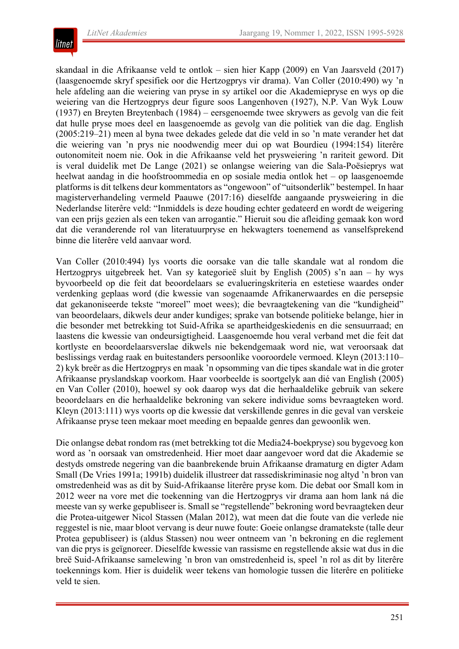

skandaal in die Afrikaanse veld te ontlok – sien hier Kapp (2009) en Van Jaarsveld (2017) (laasgenoemde skryf spesifiek oor die Hertzogprys vir drama). Van Coller (2010:490) wy 'n hele afdeling aan die weiering van pryse in sy artikel oor die Akademiepryse en wys op die weiering van die Hertzogprys deur figure soos Langenhoven (1927), N.P. Van Wyk Louw (1937) en Breyten Breytenbach (1984) – eersgenoemde twee skrywers as gevolg van die feit dat hulle pryse moes deel en laasgenoemde as gevolg van die politiek van die dag. English (2005:219–21) meen al byna twee dekades gelede dat die veld in so 'n mate verander het dat die weiering van 'n prys nie noodwendig meer dui op wat Bourdieu (1994:154) literêre outonomiteit noem nie. Ook in die Afrikaanse veld het prysweiering 'n rariteit geword. Dit is veral duidelik met De Lange (2021) se onlangse weiering van die Sala-Poësieprys wat heelwat aandag in die hoofstroommedia en op sosiale media ontlok het – op laasgenoemde platforms is dit telkens deur kommentators as "ongewoon" of "uitsonderlik" bestempel. In haar magisterverhandeling vermeld Paauwe (2017:16) dieselfde aangaande prysweiering in die Nederlandse literêre veld: "Inmiddels is deze houding echter gedateerd en wordt de weigering van een prijs gezien als een teken van arrogantie." Hieruit sou die afleiding gemaak kon word dat die veranderende rol van literatuurpryse en hekwagters toenemend as vanselfsprekend binne die literêre veld aanvaar word.

Van Coller (2010:494) lys voorts die oorsake van die talle skandale wat al rondom die Hertzogprys uitgebreek het. Van sy kategorieë sluit by English (2005) s'n aan – hy wys byvoorbeeld op die feit dat beoordelaars se evalueringskriteria en estetiese waardes onder verdenking geplaas word (die kwessie van sogenaamde Afrikanerwaardes en die persepsie dat gekanoniseerde tekste "moreel" moet wees); die bevraagtekening van die "kundigheid" van beoordelaars, dikwels deur ander kundiges; sprake van botsende politieke belange, hier in die besonder met betrekking tot Suid-Afrika se apartheidgeskiedenis en die sensuurraad; en laastens die kwessie van ondeursigtigheid. Laasgenoemde hou veral verband met die feit dat kortlyste en beoordelaarsverslae dikwels nie bekendgemaak word nie, wat veroorsaak dat beslissings verdag raak en buitestanders persoonlike vooroordele vermoed. Kleyn (2013:110– 2) kyk breër as die Hertzogprys en maak 'n opsomming van die tipes skandale wat in die groter Afrikaanse pryslandskap voorkom. Haar voorbeelde is soortgelyk aan dié van English (2005) en Van Coller (2010), hoewel sy ook daarop wys dat die herhaaldelike gebruik van sekere beoordelaars en die herhaaldelike bekroning van sekere individue soms bevraagteken word. Kleyn (2013:111) wys voorts op die kwessie dat verskillende genres in die geval van verskeie Afrikaanse pryse teen mekaar moet meeding en bepaalde genres dan gewoonlik wen.

Die onlangse debat rondom ras (met betrekking tot die Media24-boekpryse) sou bygevoeg kon word as 'n oorsaak van omstredenheid. Hier moet daar aangevoer word dat die Akademie se destyds omstrede negering van die baanbrekende bruin Afrikaanse dramaturg en digter Adam Small (De Vries 1991a; 1991b) duidelik illustreer dat rassediskriminasie nog altyd 'n bron van omstredenheid was as dit by Suid-Afrikaanse literêre pryse kom. Die debat oor Small kom in 2012 weer na vore met die toekenning van die Hertzogprys vir drama aan hom lank ná die meeste van sy werke gepubliseer is. Small se "regstellende" bekroning word bevraagteken deur die Protea-uitgewer Nicol Stassen (Malan 2012), wat meen dat die foute van die verlede nie reggestel is nie, maar bloot vervang is deur nuwe foute: Goeie onlangse dramatekste (talle deur Protea gepubliseer) is (aldus Stassen) nou weer ontneem van 'n bekroning en die reglement van die prys is geïgnoreer. Dieselfde kwessie van rassisme en regstellende aksie wat dus in die breë Suid-Afrikaanse samelewing 'n bron van omstredenheid is, speel 'n rol as dit by literêre toekennings kom. Hier is duidelik weer tekens van homologie tussen die literêre en politieke veld te sien.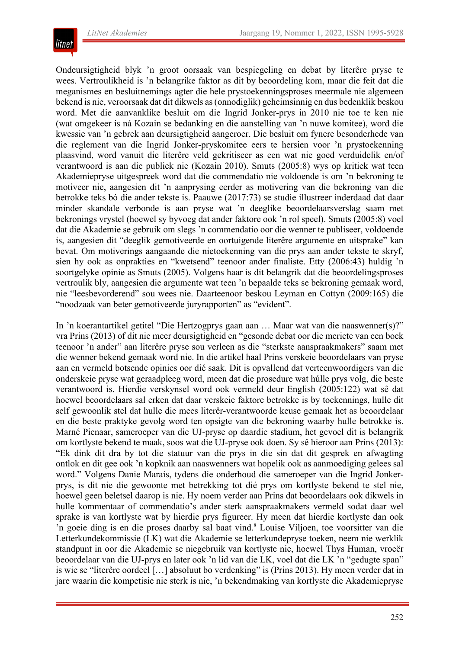

Ondeursigtigheid blyk 'n groot oorsaak van bespiegeling en debat by literêre pryse te wees. Vertroulikheid is 'n belangrike faktor as dit by beoordeling kom, maar die feit dat die meganismes en besluitnemings agter die hele prystoekenningsproses meermale nie algemeen bekend is nie, veroorsaak dat dit dikwels as(onnodiglik) geheimsinnig en dus bedenklik beskou word. Met die aanvanklike besluit om die Ingrid Jonker-prys in 2010 nie toe te ken nie (wat omgekeer is ná Kozain se bedanking en die aanstelling van 'n nuwe komitee), word die kwessie van 'n gebrek aan deursigtigheid aangeroer. Die besluit om fynere besonderhede van die reglement van die Ingrid Jonker-pryskomitee eers te hersien voor 'n prystoekenning plaasvind, word vanuit die literêre veld gekritiseer as een wat nie goed verduidelik en/of verantwoord is aan die publiek nie (Kozain 2010). Smuts (2005:8) wys op kritiek wat teen Akademiepryse uitgespreek word dat die commendatio nie voldoende is om 'n bekroning te motiveer nie, aangesien dit 'n aanprysing eerder as motivering van die bekroning van die betrokke teks bó die ander tekste is. Paauwe (2017:73) se studie illustreer inderdaad dat daar minder skandale verbonde is aan pryse wat 'n deeglike beoordelaarsverslag saam met bekronings vrystel (hoewel sy byvoeg dat ander faktore ook 'n rol speel). Smuts (2005:8) voel dat die Akademie se gebruik om slegs 'n commendatio oor die wenner te publiseer, voldoende is, aangesien dit "deeglik gemotiveerde en oortuigende literêre argumente en uitsprake" kan bevat. Om motiverings aangaande die nietoekenning van die prys aan ander tekste te skryf, sien hy ook as onprakties en "kwetsend" teenoor ander finaliste. Etty (2006:43) huldig 'n soortgelyke opinie as Smuts (2005). Volgens haar is dit belangrik dat die beoordelingsproses vertroulik bly, aangesien die argumente wat teen 'n bepaalde teks se bekroning gemaak word, nie "leesbevorderend" sou wees nie. Daarteenoor beskou Leyman en Cottyn (2009:165) die "noodzaak van beter gemotiveerde juryrapporten" as "evident".

In 'n koerantartikel getitel "Die Hertzogprys gaan aan … Maar wat van die naaswenner(s)?" vra Prins (2013) of dit nie meer deursigtigheid en "gesonde debat oor die meriete van een boek teenoor 'n ander" aan literêre pryse sou verleen as die "sterkste aanspraakmakers" saam met die wenner bekend gemaak word nie. In die artikel haal Prins verskeie beoordelaars van pryse aan en vermeld botsende opinies oor dié saak. Dit is opvallend dat verteenwoordigers van die onderskeie pryse wat geraadpleeg word, meen dat die prosedure wat húlle prys volg, die beste verantwoord is. Hierdie verskynsel word ook vermeld deur English (2005:122) wat sê dat hoewel beoordelaars sal erken dat daar verskeie faktore betrokke is by toekennings, hulle dit self gewoonlik stel dat hulle die mees literêr-verantwoorde keuse gemaak het as beoordelaar en die beste praktyke gevolg word ten opsigte van die bekroning waarby hulle betrokke is. Marné Pienaar, sameroeper van die UJ-pryse op daardie stadium, het gevoel dit is belangrik om kortlyste bekend te maak, soos wat die UJ-pryse ook doen. Sy sê hieroor aan Prins (2013): "Ek dink dit dra by tot die statuur van die prys in die sin dat dit gesprek en afwagting ontlok en dit gee ook 'n kopknik aan naaswenners wat hopelik ook as aanmoediging gelees sal word." Volgens Danie Marais, tydens die onderhoud die sameroeper van die Ingrid Jonkerprys, is dit nie die gewoonte met betrekking tot dié prys om kortlyste bekend te stel nie, hoewel geen beletsel daarop is nie. Hy noem verder aan Prins dat beoordelaars ook dikwels in hulle kommentaar of commendatio's ander sterk aanspraakmakers vermeld sodat daar wel sprake is van kortlyste wat by hierdie prys figureer. Hy meen dat hierdie kortlyste dan ook 'n goeie ding is en die proses daarby sal baat vind.<sup>8</sup> Louise Viljoen, toe voorsitter van die Letterkundekommissie (LK) wat die Akademie se letterkundepryse toeken, neem nie werklik standpunt in oor die Akademie se niegebruik van kortlyste nie, hoewel Thys Human, vroeër beoordelaar van die UJ-prys en later ook 'n lid van die LK, voel dat die LK 'n "gedugte span" is wie se "literêre oordeel [...] absoluut bo verdenking" is (Prins 2013). Hy meen verder dat in jare waarin die kompetisie nie sterk is nie, 'n bekendmaking van kortlyste die Akademiepryse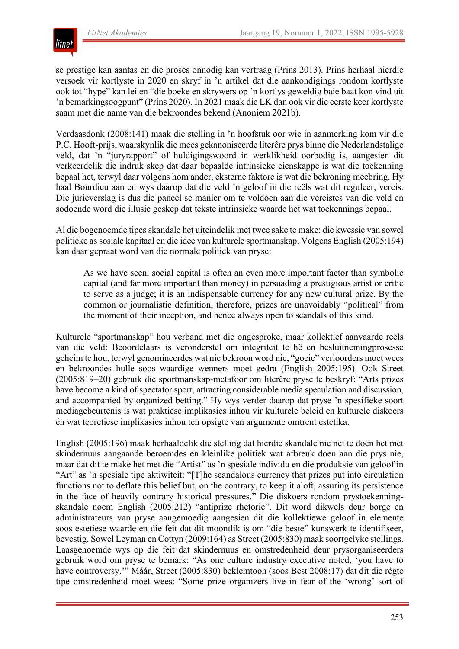

se prestige kan aantas en die proses onnodig kan vertraag (Prins 2013). Prins herhaal hierdie versoek vir kortlyste in 2020 en skryf in 'n artikel dat die aankondigings rondom kortlyste ook tot "hype" kan lei en "die boeke en skrywers op 'n kortlys geweldig baie baat kon vind uit 'n bemarkingsoogpunt" (Prins 2020). In 2021 maak die LK dan ook vir die eerste keer kortlyste saam met die name van die bekroondes bekend (Anoniem 2021b).

Verdaasdonk (2008:141) maak die stelling in 'n hoofstuk oor wie in aanmerking kom vir die P.C. Hooft-prijs, waarskynlik die mees gekanoniseerde literêre prys binne die Nederlandstalige veld, dat 'n "juryrapport" of huldigingswoord in werklikheid oorbodig is, aangesien dit verkeerdelik die indruk skep dat daar bepaalde intrinsieke eienskappe is wat die toekenning bepaal het, terwyl daar volgens hom ander, eksterne faktore is wat die bekroning meebring. Hy haal Bourdieu aan en wys daarop dat die veld 'n geloof in die reëls wat dit reguleer, vereis. Die jurieverslag is dus die paneel se manier om te voldoen aan die vereistes van die veld en sodoende word die illusie geskep dat tekste intrinsieke waarde het wat toekennings bepaal.

Al die bogenoemde tipes skandale het uiteindelik met twee sake te make: die kwessie van sowel politieke as sosiale kapitaal en die idee van kulturele sportmanskap. Volgens English (2005:194) kan daar gepraat word van die normale politiek van pryse:

As we have seen, social capital is often an even more important factor than symbolic capital (and far more important than money) in persuading a prestigious artist or critic to serve as a judge; it is an indispensable currency for any new cultural prize. By the common or journalistic definition, therefore, prizes are unavoidably "political" from the moment of their inception, and hence always open to scandals of this kind.

Kulturele "sportmanskap" hou verband met die ongesproke, maar kollektief aanvaarde reëls van die veld: Beoordelaars is veronderstel om integriteit te hê en besluitnemingprosesse geheim te hou, terwyl genomineerdes wat nie bekroon word nie, "goeie" verloorders moet wees en bekroondes hulle soos waardige wenners moet gedra (English 2005:195). Ook Street (2005:819–20) gebruik die sportmanskap-metafoor om literêre pryse te beskryf: "Arts prizes have become a kind of spectator sport, attracting considerable media speculation and discussion, and accompanied by organized betting." Hy wys verder daarop dat pryse 'n spesifieke soort mediagebeurtenis is wat praktiese implikasies inhou vir kulturele beleid en kulturele diskoers én wat teoretiese implikasies inhou ten opsigte van argumente omtrent estetika.

English (2005:196) maak herhaaldelik die stelling dat hierdie skandale nie net te doen het met skindernuus aangaande beroemdes en kleinlike politiek wat afbreuk doen aan die prys nie, maar dat dit te make het met die "Artist" as 'n spesiale individu en die produksie van geloof in "Art" as 'n spesiale tipe aktiwiteit: "[T]he scandalous currency that prizes put into circulation functions not to deflate this belief but, on the contrary, to keep it aloft, assuring its persistence in the face of heavily contrary historical pressures." Die diskoers rondom prystoekenningskandale noem English (2005:212) "antiprize rhetoric". Dit word dikwels deur borge en administrateurs van pryse aangemoedig aangesien dit die kollektiewe geloof in elemente soos estetiese waarde en die feit dat dit moontlik is om "die beste" kunswerk te identifiseer, bevestig. Sowel Leyman en Cottyn (2009:164) as Street (2005:830) maak soortgelyke stellings. Laasgenoemde wys op die feit dat skindernuus en omstredenheid deur prysorganiseerders gebruik word om pryse te bemark: "As one culture industry executive noted, 'you have to have controversy.'" Máár, Street (2005:830) beklemtoon (soos Best 2008:17) dat dit die régte tipe omstredenheid moet wees: "Some prize organizers live in fear of the 'wrong' sort of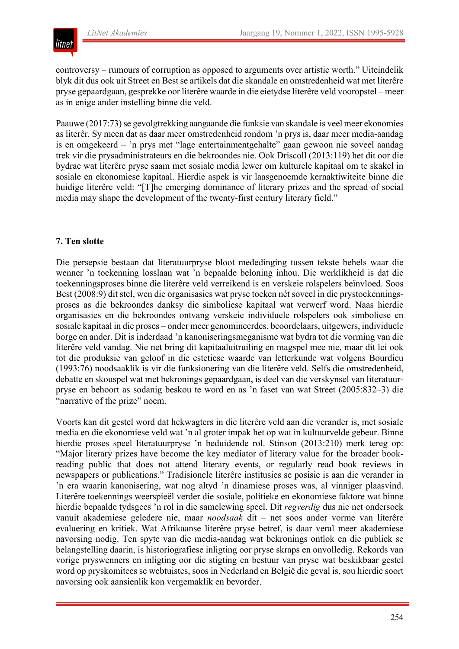

controversy – rumours of corruption as opposed to arguments over artistic worth." Uiteindelik blyk dit dus ook uit Street en Best se artikels dat die skandale en omstredenheid wat met literêre pryse gepaardgaan, gesprekke oor literêre waarde in die eietydse literêre veld vooropstel – meer as in enige ander instelling binne die veld.

Paauwe (2017:73) se gevolgtrekking aangaande die funksie van skandale is veel meer ekonomies as literêr. Sy meen dat as daar meer omstredenheid rondom 'n prys is, daar meer media-aandag is en omgekeerd – 'n prys met "lage entertainmentgehalte" gaan gewoon nie soveel aandag trek vir die prysadministrateurs en die bekroondes nie. Ook Driscoll (2013:119) het dit oor die bydrae wat literêre pryse saam met sosiale media lewer om kulturele kapitaal om te skakel in sosiale en ekonomiese kapitaal. Hierdie aspek is vir laasgenoemde kernaktiwiteite binne die huidige literêre veld: "[T]he emerging dominance of literary prizes and the spread of social media may shape the development of the twenty-first century literary field."

#### **7. Ten slotte**

Die persepsie bestaan dat literatuurpryse bloot mededinging tussen tekste behels waar die wenner 'n toekenning losslaan wat 'n bepaalde beloning inhou. Die werklikheid is dat die toekenningsproses binne die literêre veld verreikend is en verskeie rolspelers beïnvloed. Soos Best (2008:9) dit stel, wen die organisasies wat pryse toeken nét soveel in die prystoekenningsproses as die bekroondes danksy die simboliese kapitaal wat verwerf word. Naas hierdie organisasies en die bekroondes ontvang verskeie individuele rolspelers ook simboliese en sosiale kapitaal in die proses – onder meer genomineerdes, beoordelaars, uitgewers, individuele borge en ander. Dit is inderdaad 'n kanoniseringsmeganisme wat bydra tot die vorming van die literêre veld vandag. Nie net bring dit kapitaaluitruiling en magspel mee nie, maar dit lei ook tot die produksie van geloof in die estetiese waarde van letterkunde wat volgens Bourdieu (1993:76) noodsaaklik is vir die funksionering van die literêre veld. Selfs die omstredenheid, debatte en skouspel wat met bekronings gepaardgaan, is deel van die verskynsel van literatuurpryse en behoort as sodanig beskou te word en as 'n faset van wat Street (2005:832–3) die "narrative of the prize" noem.

Voorts kan dit gestel word dat hekwagters in die literêre veld aan die verander is, met sosiale media en die ekonomiese veld wat 'n al groter impak het op wat in kultuurvelde gebeur. Binne hierdie proses speel literatuurpryse 'n beduidende rol. Stinson (2013:210) merk tereg op: "Major literary prizes have become the key mediator of literary value for the broader bookreading public that does not attend literary events, or regularly read book reviews in newspapers or publications." Tradisionele literêre institusies se posisie is aan die verander in 'n era waarin kanonisering, wat nog altyd 'n dinamiese proses was, al vinniger plaasvind. Literêre toekennings weerspieël verder die sosiale, politieke en ekonomiese faktore wat binne hierdie bepaalde tydsgees 'n rol in die samelewing speel. Dit *regverdig* dus nie net ondersoek vanuit akademiese geledere nie, maar *noodsaak* dit – net soos ander vorme van literêre evaluering en kritiek. Wat Afrikaanse literêre pryse betref, is daar veral meer akademiese navorsing nodig. Ten spyte van die media-aandag wat bekronings ontlok en die publiek se belangstelling daarin, is historiografiese inligting oor pryse skraps en onvolledig. Rekords van vorige pryswenners en inligting oor die stigting en bestuur van pryse wat beskikbaar gestel word op pryskomitees se webtuistes, soos in Nederland en België die geval is, sou hierdie soort navorsing ook aansienlik kon vergemaklik en bevorder.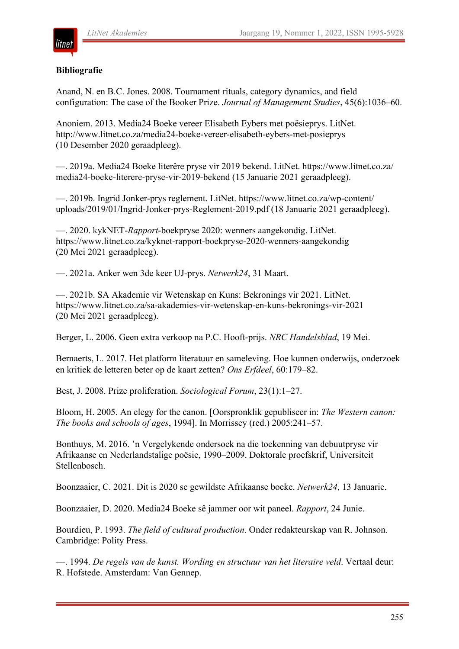# **Bibliografie**

Anand, N. en B.C. Jones. 2008. Tournament rituals, category dynamics, and field configuration: The case of the Booker Prize. *Journal of Management Studies*, 45(6):1036–60.

Anoniem. 2013. Media24 Boeke vereer Elisabeth Eybers met poësieprys. LitNet. http://www.litnet.co.za/media24-boeke-vereer-elisabeth-eybers-met-posieprys (10 Desember 2020 geraadpleeg).

—. 2019a. Media24 Boeke literêre pryse vir 2019 bekend. LitNet. https://www.litnet.co.za/ media24-boeke-literere-pryse-vir-2019-bekend (15 Januarie 2021 geraadpleeg).

—. 2019b. Ingrid Jonker-prys reglement. LitNet. https://www.litnet.co.za/wp-content/ uploads/2019/01/Ingrid-Jonker-prys-Reglement-2019.pdf (18 Januarie 2021 geraadpleeg).

—. 2020. kykNET-*Rapport*-boekpryse 2020: wenners aangekondig. LitNet. https://www.litnet.co.za/kyknet-rapport-boekpryse-2020-wenners-aangekondig (20 Mei 2021 geraadpleeg).

—. 2021a. Anker wen 3de keer UJ-prys. *Netwerk24*, 31 Maart.

—. 2021b. SA Akademie vir Wetenskap en Kuns: Bekronings vir 2021. LitNet. https://www.litnet.co.za/sa-akademies-vir-wetenskap-en-kuns-bekronings-vir-2021 (20 Mei 2021 geraadpleeg).

Berger, L. 2006. Geen extra verkoop na P.C. Hooft-prijs. *NRC Handelsblad*, 19 Mei.

Bernaerts, L. 2017. Het platform literatuur en sameleving. Hoe kunnen onderwijs, onderzoek en kritiek de letteren beter op de kaart zetten? *Ons Erfdeel*, 60:179–82.

Best, J. 2008. Prize proliferation. *Sociological Forum*, 23(1):1–27.

Bloom, H. 2005. An elegy for the canon. [Oorspronklik gepubliseer in: *The Western canon: The books and schools of ages*, 1994]. In Morrissey (red.) 2005:241–57.

Bonthuys, M. 2016. 'n Vergelykende ondersoek na die toekenning van debuutpryse vir Afrikaanse en Nederlandstalige poësie, 1990–2009. Doktorale proefskrif, Universiteit Stellenbosch.

Boonzaaier, C. 2021. Dit is 2020 se gewildste Afrikaanse boeke. *Netwerk24*, 13 Januarie.

Boonzaaier, D. 2020. Media24 Boeke sê jammer oor wit paneel. *Rapport*, 24 Junie.

Bourdieu, P. 1993. *The field of cultural production*. Onder redakteurskap van R. Johnson. Cambridge: Polity Press.

—. 1994. *De regels van de kunst. Wording en structuur van het literaire veld*. Vertaal deur: R. Hofstede. Amsterdam: Van Gennep.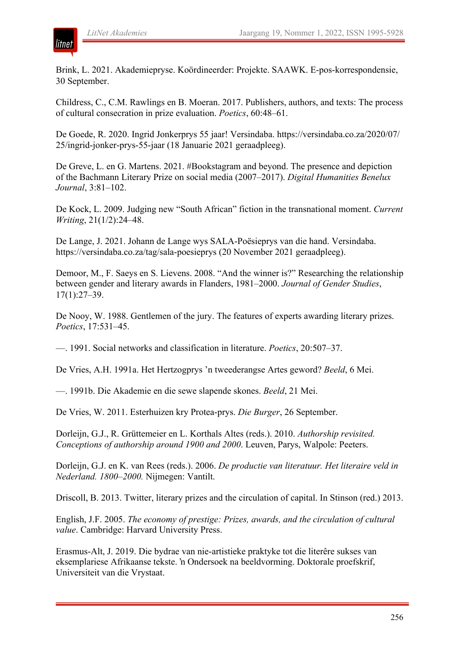

Brink, L. 2021. Akademiepryse. Koördineerder: Projekte. SAAWK. E-pos-korrespondensie, 30 September.

Childress, C., C.M. Rawlings en B. Moeran. 2017. Publishers, authors, and texts: The process of cultural consecration in prize evaluation. *Poetics*, 60:48–61.

De Goede, R. 2020. Ingrid Jonkerprys 55 jaar! Versindaba. https://versindaba.co.za/2020/07/ 25/ingrid-jonker-prys-55-jaar (18 Januarie 2021 geraadpleeg).

De Greve, L. en G. Martens. 2021. #Bookstagram and beyond. The presence and depiction of the Bachmann Literary Prize on social media (2007–2017). *Digital Humanities Benelux Journal*, 3:81–102.

De Kock, L. 2009. Judging new "South African" fiction in the transnational moment. *Current Writing*, 21(1/2):24–48.

De Lange, J. 2021. Johann de Lange wys SALA-Poësieprys van die hand. Versindaba. https://versindaba.co.za/tag/sala-poesieprys (20 November 2021 geraadpleeg).

Demoor, M., F. Saeys en S. Lievens. 2008. "And the winner is?" Researching the relationship between gender and literary awards in Flanders, 1981–2000. *Journal of Gender Studies*, 17(1):27–39.

De Nooy, W. 1988. Gentlemen of the jury. The features of experts awarding literary prizes. *Poetics*, 17:531–45.

—. 1991. Social networks and classification in literature. *Poetics*, 20:507–37.

De Vries, A.H. 1991a. Het Hertzogprys 'n tweederangse Artes geword? *Beeld*, 6 Mei.

—. 1991b. Die Akademie en die sewe slapende skones. *Beeld*, 21 Mei.

De Vries, W. 2011. Esterhuizen kry Protea-prys. *Die Burger*, 26 September.

Dorleijn, G.J., R. Grüttemeier en L. Korthals Altes (reds.). 2010. *Authorship revisited. Conceptions of authorship around 1900 and 2000*. Leuven, Parys, Walpole: Peeters.

Dorleijn, G.J. en K. van Rees (reds.). 2006. *De productie van literatuur. Het literaire veld in Nederland. 1800–2000.* Nijmegen: Vantilt.

Driscoll, B. 2013. Twitter, literary prizes and the circulation of capital. In Stinson (red.) 2013.

English, J.F. 2005. *The economy of prestige: Prizes, awards, and the circulation of cultural value*. Cambridge: Harvard University Press.

Erasmus-Alt, J. 2019. Die bydrae van nie-artistieke praktyke tot die literêre sukses van eksemplariese Afrikaanse tekste. 'n Ondersoek na beeldvorming. Doktorale proefskrif, Universiteit van die Vrystaat.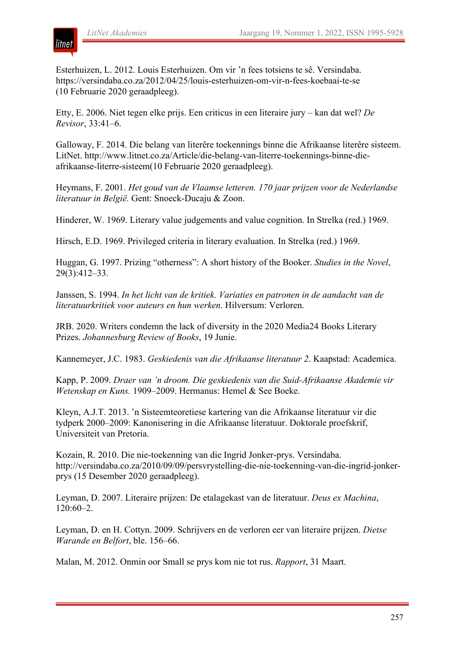Esterhuizen, L. 2012. Louis Esterhuizen. Om vir 'n fees totsiens te sê. Versindaba. https://versindaba.co.za/2012/04/25/louis-esterhuizen-om-vir-n-fees-koebaai-te-se (10 Februarie 2020 geraadpleeg).

Etty, E. 2006. Niet tegen elke prijs. Een criticus in een literaire jury – kan dat wel? *De Revisor*, 33:41–6.

Galloway, F. 2014. Die belang van literêre toekennings binne die Afrikaanse literêre sisteem. LitNet. http://www.litnet.co.za/Article/die-belang-van-literre-toekennings-binne-dieafrikaanse-literre-sisteem(10 Februarie 2020 geraadpleeg).

Heymans, F. 2001. *Het goud van de Vlaamse letteren. 170 jaar prijzen voor de Nederlandse literatuur in België.* Gent: Snoeck-Ducaju & Zoon.

Hinderer, W. 1969. Literary value judgements and value cognition. In Strelka (red.) 1969.

Hirsch, E.D. 1969. Privileged criteria in literary evaluation. In Strelka (red.) 1969.

Huggan, G. 1997. Prizing "otherness": A short history of the Booker. *Studies in the Novel*, 29(3):412–33.

Janssen, S. 1994. *In het licht van de kritiek. Variaties en patronen in de aandacht van de literatuurkritiek voor auteurs en hun werken*. Hilversum: Verloren.

JRB. 2020. Writers condemn the lack of diversity in the 2020 Media24 Books Literary Prizes. *Johannesburg Review of Books*, 19 Junie.

Kannemeyer, J.C. 1983. *Geskiedenis van die Afrikaanse literatuur 2*. Kaapstad: Academica.

Kapp, P. 2009. *Draer van 'n droom. Die geskiedenis van die Suid-Afrikaanse Akademie vir Wetenskap en Kuns.* 1909–2009. Hermanus: Hemel & See Boeke.

Kleyn, A.J.T. 2013. 'n Sisteemteoretiese kartering van die Afrikaanse literatuur vir die tydperk 2000–2009: Kanonisering in die Afrikaanse literatuur. Doktorale proefskrif, Universiteit van Pretoria.

Kozain, R. 2010. Die nie-toekenning van die Ingrid Jonker-prys. Versindaba. http://versindaba.co.za/2010/09/09/persvrystelling-die-nie-toekenning-van-die-ingrid-jonkerprys (15 Desember 2020 geraadpleeg).

Leyman, D. 2007. Literaire prijzen: De etalagekast van de literatuur. *Deus ex Machina*, 120:60–2.

Leyman, D. en H. Cottyn. 2009. Schrijvers en de verloren eer van literaire prijzen. *Dietse Warande en Belfort*, ble. 156–66.

Malan, M. 2012. Onmin oor Small se prys kom nie tot rus. *Rapport*, 31 Maart.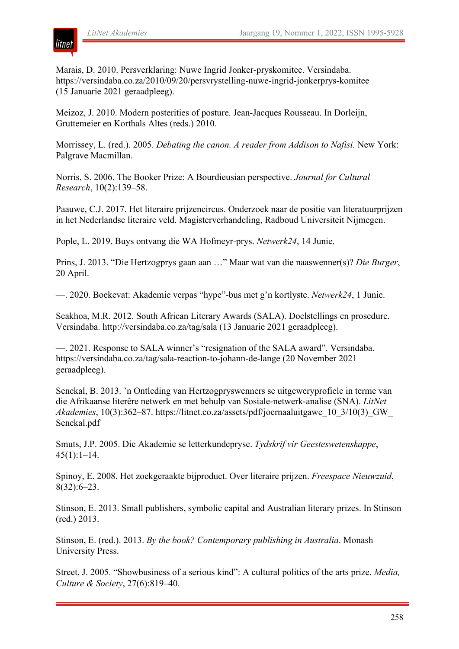

Marais, D. 2010. Persverklaring: Nuwe Ingrid Jonker-pryskomitee. Versindaba. https://versindaba.co.za/2010/09/20/persvrystelling-nuwe-ingrid-jonkerprys-komitee (15 Januarie 2021 geraadpleeg).

Meizoz, J. 2010. Modern posterities of posture. Jean-Jacques Rousseau. In Dorleijn, Gruttemeier en Korthals Altes (reds.) 2010.

Morrissey, L. (red.). 2005. *Debating the canon. A reader from Addison to Nafisi.* New York: Palgrave Macmillan.

Norris, S. 2006. The Booker Prize: A Bourdieusian perspective. *Journal for Cultural Research*, 10(2):139–58.

Paauwe, C.J. 2017. Het literaire prijzencircus. Onderzoek naar de positie van literatuurprijzen in het Nederlandse literaire veld. Magisterverhandeling, Radboud Universiteit Nijmegen.

Pople, L. 2019. Buys ontvang die WA Hofmeyr-prys. *Netwerk24*, 14 Junie.

Prins, J. 2013. "Die Hertzogprys gaan aan …" Maar wat van die naaswenner(s)? *Die Burger*, 20 April.

—. 2020. Boekevat: Akademie verpas "hype"-bus met g'n kortlyste. *Netwerk24*, 1 Junie.

Seakhoa, M.R. 2012. South African Literary Awards (SALA). Doelstellings en prosedure. Versindaba. http://versindaba.co.za/tag/sala (13 Januarie 2021 geraadpleeg).

—. 2021. Response to SALA winner's "resignation of the SALA award". Versindaba. https://versindaba.co.za/tag/sala-reaction-to-johann-de-lange (20 November 2021 geraadpleeg).

Senekal, B. 2013. 'n Ontleding van Hertzogpryswenners se uitgeweryprofiele in terme van die Afrikaanse literêre netwerk en met behulp van Sosiale-netwerk-analise (SNA). *LitNet Akademies*, 10(3):362–87. https://litnet.co.za/assets/pdf/joernaaluitgawe\_10\_3/10(3)\_GW\_ Senekal.pdf

Smuts, J.P. 2005. Die Akademie se letterkundepryse. *Tydskrif vir Geesteswetenskappe*,  $45(1):1-14.$ 

Spinoy, E. 2008. Het zoekgeraakte bijproduct. Over literaire prijzen. *Freespace Nieuwzuid*, 8(32):6–23.

Stinson, E. 2013. Small publishers, symbolic capital and Australian literary prizes. In Stinson (red.) 2013.

Stinson, E. (red.). 2013. *By the book? Contemporary publishing in Australia*. Monash University Press.

Street, J. 2005. "Showbusiness of a serious kind": A cultural politics of the arts prize. *Media, Culture & Society*, 27(6):819–40.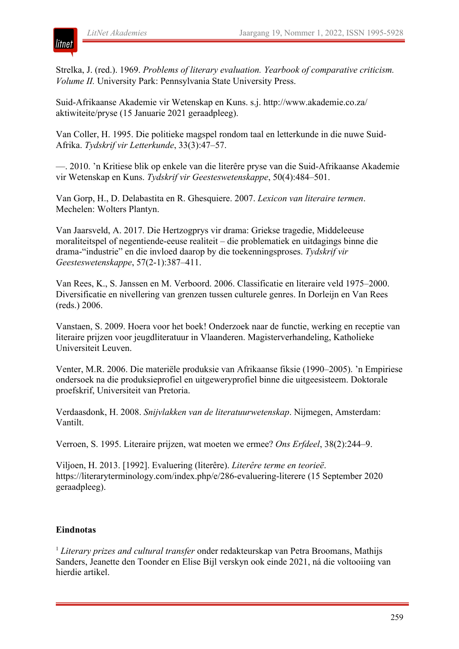

Strelka, J. (red.). 1969. *Problems of literary evaluation. Yearbook of comparative criticism. Volume II.* University Park: Pennsylvania State University Press.

Suid-Afrikaanse Akademie vir Wetenskap en Kuns. s.j. http://www.akademie.co.za/ aktiwiteite/pryse (15 Januarie 2021 geraadpleeg).

Van Coller, H. 1995. Die politieke magspel rondom taal en letterkunde in die nuwe Suid-Afrika. *Tydskrif vir Letterkunde*, 33(3):47–57.

—. 2010. 'n Kritiese blik op enkele van die literêre pryse van die Suid-Afrikaanse Akademie vir Wetenskap en Kuns. *Tydskrif vir Geesteswetenskappe*, 50(4):484–501.

Van Gorp, H., D. Delabastita en R. Ghesquiere. 2007. *Lexicon van literaire termen*. Mechelen: Wolters Plantyn.

Van Jaarsveld, A. 2017. Die Hertzogprys vir drama: Griekse tragedie, Middeleeuse moraliteitspel of negentiende-eeuse realiteit – die problematiek en uitdagings binne die drama-"industrie" en die invloed daarop by die toekenningsproses. *Tydskrif vir Geesteswetenskappe*, 57(2-1):387–411.

Van Rees, K., S. Janssen en M. Verboord. 2006. Classificatie en literaire veld 1975–2000. Diversificatie en nivellering van grenzen tussen culturele genres. In Dorleijn en Van Rees (reds.) 2006.

Vanstaen, S. 2009. Hoera voor het boek! Onderzoek naar de functie, werking en receptie van literaire prijzen voor jeugdliteratuur in Vlaanderen. Magisterverhandeling, Katholieke Universiteit Leuven.

Venter, M.R. 2006. Die materiële produksie van Afrikaanse fiksie (1990–2005). 'n Empiriese ondersoek na die produksieprofiel en uitgeweryprofiel binne die uitgeesisteem. Doktorale proefskrif, Universiteit van Pretoria.

Verdaasdonk, H. 2008. *Snijvlakken van de literatuurwetenskap*. Nijmegen, Amsterdam: Vantilt.

Verroen, S. 1995. Literaire prijzen, wat moeten we ermee? *Ons Erfdeel*, 38(2):244–9.

Viljoen, H. 2013. [1992]. Evaluering (literêre). *Literêre terme en teorieë*. https://literaryterminology.com/index.php/e/286-evaluering-literere (15 September 2020 geraadpleeg).

#### **Eindnotas**

<sup>1</sup> *Literary prizes and cultural transfer* onder redakteurskap van Petra Broomans, Mathijs Sanders, Jeanette den Toonder en Elise Bijl verskyn ook einde 2021, ná die voltooiing van hierdie artikel.